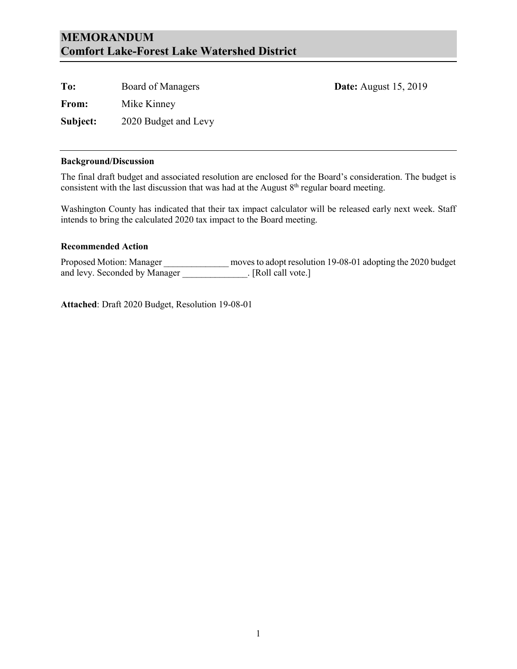#### **MEMORANDUM Comfort Lake-Forest Lake Watershed District**

| To:      | Board of Managers    | <b>Date:</b> August 15, 2019 |
|----------|----------------------|------------------------------|
| From:    | Mike Kinney          |                              |
| Subject: | 2020 Budget and Levy |                              |

#### **Background/Discussion**

The final draft budget and associated resolution are enclosed for the Board's consideration. The budget is consistent with the last discussion that was had at the August  $8<sup>th</sup>$  regular board meeting.

Washington County has indicated that their tax impact calculator will be released early next week. Staff intends to bring the calculated 2020 tax impact to the Board meeting.

#### **Recommended Action**

Proposed Motion: Manager \_\_\_\_\_\_\_\_\_\_\_\_\_\_ moves to adopt resolution 19-08-01 adopting the 2020 budget and levy. Seconded by Manager \_\_\_\_\_\_\_\_\_\_\_\_\_\_. [Roll call vote.]

**Attached**: Draft 2020 Budget, Resolution 19-08-01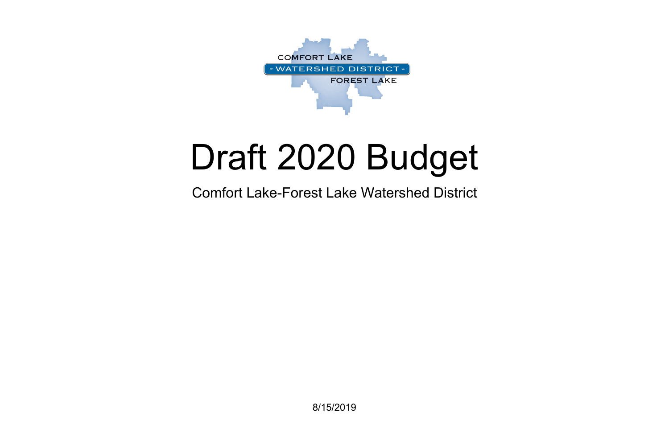8/15/2019



# Draft 2020 Budget

# Comfort Lake-Forest Lake Watershed District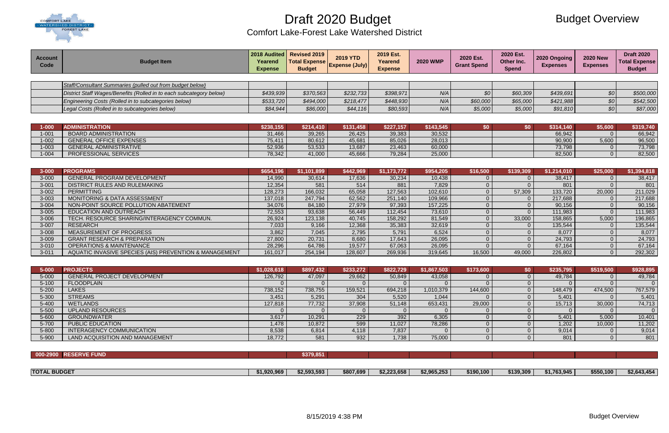

Comfort Lake-Forest Lake Watershed District

# Budget Overview

| <b>Account</b><br>Code | <b>Budget Item</b>                                                  | 2018 Audited<br>Yearend<br><b>Expense</b> | <b>Revised 2019</b><br><b>Total Expense</b><br><b>Budget</b> | <b>2019 YTD</b><br><b>Expense (July)</b> | 2019 Est.<br>Yearend<br><b>Expense</b> | <b>2020 WMP</b>  | 2020 Est.<br><b>Grant Spend</b> | 2020 Est.<br>Other Inc.<br><b>Spend</b> | 2020 Ongoing<br><b>Expenses</b> | <b>2020 New</b><br><b>Expenses</b> | <b>Draft 2020</b><br><b>Total Expense</b><br><b>Budget</b> |
|------------------------|---------------------------------------------------------------------|-------------------------------------------|--------------------------------------------------------------|------------------------------------------|----------------------------------------|------------------|---------------------------------|-----------------------------------------|---------------------------------|------------------------------------|------------------------------------------------------------|
|                        |                                                                     |                                           |                                                              |                                          |                                        |                  |                                 |                                         |                                 |                                    |                                                            |
|                        | Staff/Consultant Summaries (pulled out from budget below)           |                                           |                                                              |                                          |                                        |                  |                                 |                                         |                                 |                                    |                                                            |
|                        | District Staff Wages/Benefits (Rolled in to each subcategory below) | \$439,939                                 | \$370,563                                                    | \$232,733                                | \$398,971                              | N/A              | 30                              | \$60,309                                | \$439,691                       | \$0\$                              | \$500,000                                                  |
|                        | Engineering Costs (Rolled in to subcategories below)                | \$533,720                                 | \$494,000                                                    | \$218,477                                | \$448,930                              | N/A              | \$60,000                        | \$65,000                                | \$421,988                       | \$0\$                              | \$542,500                                                  |
|                        | Legal Costs (Rolled in to subcategories below)                      | \$84,944                                  | \$86,000                                                     | \$44,116                                 | \$80,593                               | N/A              | \$5,000                         | \$5,000                                 | \$91,810                        | \$0                                | \$87,000                                                   |
|                        |                                                                     |                                           |                                                              |                                          |                                        |                  |                                 |                                         |                                 |                                    |                                                            |
|                        |                                                                     |                                           |                                                              |                                          |                                        |                  |                                 |                                         |                                 |                                    |                                                            |
| $1 - 000$              | <b>ADMINISTRATION</b>                                               | \$238,155                                 | \$214,410                                                    | \$131,458                                | \$227,157                              | \$143,545        | \$0                             | \$0                                     | \$314,140                       | \$5,600                            | \$319,740                                                  |
| $1 - 001$              | <b>BOARD ADMINISTRATION</b><br><b>GENERAL OFFICE EXPENSES</b>       | 31,466                                    | 39,265                                                       | 26,425                                   | 39,383                                 | 30,532           |                                 |                                         | 66,942                          | $\overline{0}$                     | 66,942                                                     |
| $1 - 002$<br>$1 - 003$ | <b>GENERAL ADMINISTRATIVE</b>                                       | 75,411                                    | 80,612                                                       | 45,681<br>13,687                         | 85,026<br>23,463                       | 28,013<br>60,000 |                                 |                                         | 90,900<br>73,798                | 5,600                              | 96,500<br>73,798                                           |
| $1 - 004$              | PROFESSIONAL SERVICES                                               | 52,936<br>78,342                          | 53,533<br>41,000                                             | 45,666                                   | 79,284                                 | 25,000           |                                 |                                         | 82,500                          | 0<br>$\Omega$                      | 82,500                                                     |
|                        |                                                                     |                                           |                                                              |                                          |                                        |                  |                                 |                                         |                                 |                                    |                                                            |
|                        |                                                                     |                                           |                                                              |                                          |                                        |                  |                                 |                                         |                                 |                                    |                                                            |
| $3 - 000$              | <b>PROGRAMS</b>                                                     | \$654,196                                 | \$1,101,899                                                  | \$442,969                                | \$1,173,772                            | \$954,205        | \$16,500                        | \$139,309                               | \$1,214,010                     | \$25,000                           | \$1,394,818                                                |
| $3 - 000$              | <b>GENERAL PROGRAM DEVELOPMENT</b>                                  | 14,990                                    | 30,614                                                       | 17,636                                   | 30,234                                 | 10,438           | $\overline{0}$                  | 0                                       | 38,417                          | $\Omega$                           | 38,417                                                     |
| $3 - 001$              | DISTRICT RULES AND RULEMAKING                                       | 12,354                                    | 581                                                          | 514                                      | 881                                    | 7,829            | $\overline{0}$                  | $\Omega$                                | 801                             | $\Omega$                           | 801                                                        |
| $3 - 002$              | <b>PERMITTING</b>                                                   | 128,273                                   | 166,032                                                      | 65,058                                   | 127,563                                | 102,610          | $\overline{0}$                  | 57,309                                  | 133,720                         | 20,000                             | 211,029                                                    |
| $3 - 003$              | <b>MONITORING &amp; DATA ASSESSMENT</b>                             | 137,018                                   | 247,794                                                      | 62,562                                   | 251,140                                | 109,966          | $\overline{0}$                  | $\Omega$                                | 217,688                         | $\overline{0}$                     | 217,688                                                    |
| $3 - 004$              | NON-POINT SOURCE POLLUTION ABATEMENT                                | 34,076                                    | 84,180                                                       | 27,979                                   | 97,393                                 | 157,225          | $\overline{0}$                  | $\Omega$                                | 90,156                          | $\Omega$                           | 90,156                                                     |
| $3 - 005$              | <b>EDUCATION AND OUTREACH</b>                                       | 72,553                                    | 93,638                                                       | 56,449                                   | 112,454                                | 73,610           | $\overline{0}$                  | $\Omega$                                | 111,983                         | $\Omega$                           | 111,983                                                    |
| 3-006                  | TECH. RESOURCE SHARING/INTERAGENCY COMMUN.                          | 26,924                                    | 123,138                                                      | 40,745                                   | 158,292                                | 81,549           | $\overline{0}$                  | 33,000                                  | 158,865                         | 5,000                              | 196,865                                                    |
| 3-007                  | <b>RESEARCH</b>                                                     | 7,033                                     | 9,166                                                        | 12,368                                   | 35,383                                 | 32,619           | $\overline{0}$                  | $\Omega$                                | 135,544                         | $\overline{0}$                     | 135,544                                                    |
| 3-008                  | <b>MEASUREMENT OF PROGRESS</b>                                      | 3,862                                     | 7,045                                                        | 2,795                                    | 5,791                                  | 6,524            | $\overline{0}$                  | $\Omega$                                | 8,077                           | $\Omega$                           | 8,077                                                      |
| 3-009                  | <b>GRANT RESEARCH &amp; PREPARATION</b>                             | 27,800                                    | 20,731                                                       | 8,680                                    | 17,643                                 | 26,095           | $\overline{0}$                  | $\Omega$                                | 24,793                          | $\Omega$                           | 24,793                                                     |
| $3 - 010$              | <b>OPERATIONS &amp; MAINTENANCE</b>                                 | 28,296                                    | 64,786                                                       | 19,577                                   | 67,063                                 | 26,095           | $\overline{0}$                  | $\Omega$                                | 67,164                          | $\Omega$                           | 67,164                                                     |
| $3 - 011$              | AQUATIC INVASIVE SPECIES (AIS) PREVENTION & MANAGEMENT              | 161,017                                   | 254,194                                                      | 128,607                                  | 269,936                                | 319,645          | 16,500                          | 49,000                                  | 226,802                         | $\Omega$                           | 292,302                                                    |
|                        |                                                                     |                                           |                                                              |                                          |                                        |                  |                                 |                                         |                                 |                                    |                                                            |
| $5 - 000$              | <b>PROJECTS</b>                                                     | \$1,028,618                               | \$897,432                                                    | \$233,272                                | \$822,729                              | \$1,867,503      | \$173,600                       | \$0                                     | \$235,795                       | \$519,500                          | \$928,895                                                  |
| 5-000                  | <b>GENERAL PROJECT DEVELOPMENT</b>                                  | 126,792                                   | 47,097                                                       | 29,662                                   | 50,849                                 | 43,058           | $\Omega$                        | $\Omega$                                | 49,784                          | $\Omega$                           | 49,784                                                     |
| $5 - 100$              | <b>FLOODPLAIN</b>                                                   |                                           |                                                              |                                          | $\Omega$                               |                  | $\Omega$                        |                                         | $\Omega$                        |                                    | $\Omega$                                                   |
| 5-200                  | <b>LAKES</b>                                                        | 738,152                                   | 738,755                                                      | 159,521                                  | 694,218                                | 1,010,379        | 144,600                         | $\Omega$                                | 148,479                         | 474,500                            | 767,579                                                    |
| 5-300                  | <b>STREAMS</b>                                                      | 3,451                                     | 5,291                                                        | 304                                      | 5,520                                  | 1,044            | $\overline{0}$                  | $\overline{0}$                          | 5,401                           | $\overline{0}$                     | 5,401                                                      |
| 5-400                  | <b>WETLANDS</b>                                                     | 127,818                                   | 77,732                                                       | 37,908                                   | 51,148                                 | 653,431          | 29,000                          | $\overline{0}$                          | 15,713                          | 30,000                             | 74,713                                                     |
| 5-500                  | <b>UPLAND RESOURCES</b>                                             | $\Omega$                                  | $\overline{0}$                                               |                                          | $\Omega$                               | $\overline{0}$   | $\Omega$                        | $\Omega$                                | $\overline{0}$                  | $\overline{0}$                     | $\overline{0}$                                             |
| 5-600                  | <b>GROUNDWATER</b>                                                  | 3,617                                     | 10,291                                                       | 229                                      | 392                                    | 6,305            | $\overline{0}$                  | $\overline{0}$                          | 5,401                           | 5,000                              | 10,401                                                     |
| 5-700                  | <b>PUBLIC EDUCATION</b>                                             | 1,478                                     | 10,872                                                       | 599                                      | 11,027                                 | 78,286           | $\overline{0}$                  | $\Omega$                                | 1,202                           | 10,000                             | 11,202                                                     |
| 5-800                  | INTERAGENCY COMMUNICATION                                           | 8,538                                     | 6,814                                                        | 4,118                                    | 7,837                                  | $\overline{0}$   | $\overline{0}$                  | $\overline{0}$                          | 9,014                           | $\overline{0}$                     | 9,014                                                      |
| 5-900                  | LAND ACQUISITION AND MANAGEMENT                                     | 18,772                                    | 581                                                          | 932                                      | 1,738                                  | 75,000           | $\overline{0}$                  | $\Omega$                                | 801                             | $\Omega$                           | 801                                                        |

**000-2900 RESERVE FUND \$379,851** 

| <b>TOTAL BUDGET</b> | \$1,920,969 | \$2,593,593 | \$807,699 | \$2,223,658 | \$2,965,253 | \$190,100 | \$139,309 | \$1,763,945 | \$550,100 | \$2,643,454 |
|---------------------|-------------|-------------|-----------|-------------|-------------|-----------|-----------|-------------|-----------|-------------|
|                     |             |             |           |             |             |           |           |             |           |             |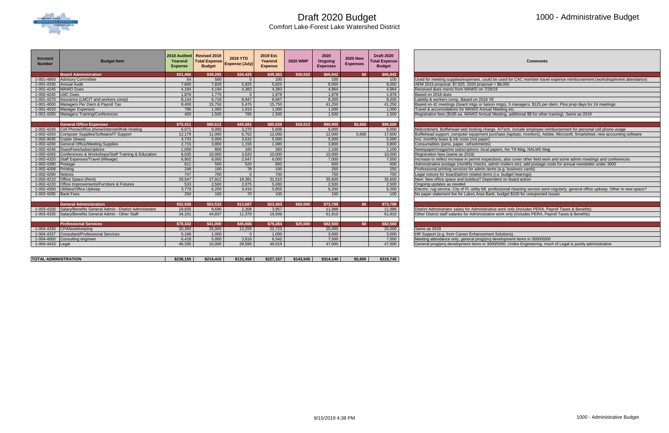

### 1000 - Administrative Budget

#### **Comments**

#### papers, No Till Mag, NALMS Mag

| <b>Number</b><br><b>Expense (July)</b><br><b>Expenses</b><br><b>Budget</b><br><b>Budget</b><br><b>Expenses</b><br><b>Expense</b><br><b>Expense</b><br><b>Board Administration</b><br>\$31,466<br>\$39,265<br>\$26,425<br>\$39,383<br>\$30.532<br>\$66,942<br>\$0<br>\$66,942<br>500<br>1-001-4800 Advisory Committee<br>54<br>100<br>100<br>100<br>$\Omega$<br>7,828<br>5.825<br>5,825<br>7.600<br>8,050<br>8,050<br>AEM 2019 proposal: \$7,825. 2020 proposal = \$8,050<br>1-001-4330 Annual Audit<br>1-001-4245 MAWD Dues<br>4.194<br>4.383<br>4.383<br>4.964<br>4.964<br>Received dues memo from MAWD on 7/29/19<br>4.194<br>1-002-4245 LMC Dues<br>1,775<br>1,878<br>1,878<br>1,878<br>1,878<br>Based on 2018 dues<br>$\overline{0}$<br>1-001-4270   Insurance (LMCIT and workers comp)<br>6,718<br>8,947<br>8,947<br>8,200<br>8,200<br>8.144<br>Liability & workers comp. Based on 2018 YE<br>1-001-4000 Managers Per Diem & Payroll Tax<br>15,750<br>15,750<br>41,250<br>5.475<br>41.250<br>8,400<br>796<br>1.000<br>1,000<br>Travel & accomodations for MAWD Annual Meeting etc.<br>1-001-4010 Manager Expenses<br>1.000<br>1.010<br>1,000<br>785<br>1-001-4265   Managers Training/Conferences<br>1.500<br>1,500<br>1,500<br>1,500<br>Registration fees (\$185 ea. MAWD Annual Meeting, additional \$\$ for other training). Same as 2019<br>400<br><b>General Office Expenses</b><br>\$75,411<br>\$80,612<br>\$45,681<br>\$85,026<br>\$28,013<br>\$90,900<br>\$5,600<br>\$96,500<br>1-002-4240 Cell Phone/office phone/internet/Web Hosting<br>6,000<br>6,000<br>6,000<br>6,071<br>3,270<br>5,606<br>11,000<br>6,752<br>12,000<br>5.600<br>17,600<br>1-002-4203 Computer Supplies/Software/IT Support<br>12,179<br>12,000<br>3,632<br>5,000<br>5,000<br>Incl. monthly lease & ink costs (not paper)<br>1-002-4635 Copier (lease)<br>4,733<br>5,000<br>5,000<br>1-002-4200 General Office/Meeting Supplies<br>3,800<br>1,155<br>1,980<br>2.715<br>3,800<br>3,800<br>Consumables (pens, paper, refreshments)<br>283<br>1-002-4245 Dues/Fees/subscriptions<br>1.059<br>800<br>165<br>1.100<br>1.100<br>Newspaper/magazine subscriptions: local papers, No Till Mag, NALMS Mag<br>1-002-4265 Conferences & Workshops/Staff Training & Education<br>10.000<br>3,520<br>10,000<br>10.000<br>6,035<br>10,000<br>Registration fees (same as 2019)<br>1-002-4320 Staff Expenses/Travel (Mileage)<br>6,000<br>2,647<br>6,000<br>7,000<br>7,000<br>6,902<br>500<br>892<br>600<br>1-002-4280 Postage<br>611<br>520<br>600<br>Administrative postage (monthly checks, admin mailers etc); add postage costs for annual newsletter under 3005<br>100<br>78<br>250<br>250<br>1-002-4208 Printing<br>248<br>100<br>Professional printing services for admin items (e.g. business cards)<br>700<br>700<br>750<br>750<br>1-002-4290<br>747<br>Legal notices for board/admin related items (i.e. budget hearings)<br>Notices<br>$\Omega$<br>27,912<br>18.381<br>31,510<br>35,600<br>35,600<br>1-002-4210 Office Space (Rent)<br>29,547<br>New: New office space and buildout? Dependent on board action<br>1-002-4220 Office Improvements/Furniture & Fixtures<br>2,500<br>2,075<br>5,000<br>2,500<br>533<br>2,500<br>Ongoing updates as needed<br>5,855<br>1-002-4300 Utilities/Office Upkeep<br>3,779<br>6,200<br>3,416<br>6,200<br>6,200<br>1-002-4295 Bank Fees<br>250<br>100<br>70<br>100<br>100<br>100<br>No paper statement fee for Lakes Area Bank, budget \$100 for unexpected issues<br>\$23,463<br><b>General Administration</b><br>\$52,936<br>\$53,533<br>\$13,687<br>\$60,000<br>\$73,798<br>\$0<br>\$73,798<br>1-003-4100 Salary/Benefits General Admin - District Administrator<br>8.696<br>2.308<br>3.957<br>11.988<br>11.988<br>District Administrator salary for Administrative work only (includes PERA, Payroll Taxes & Benefits)<br>18.835<br>11.379<br>61,810<br>34,101<br>44.837<br>19,506<br>Other District staff salaries for Administrative work only (includes PERA, Pavroll Taxes & Benefits)<br>1-003-4335 Salary/Benefits General Admin - Other Staff<br>61,810<br><b>Professional Services</b><br>\$78,342<br>\$45,666<br>\$79,284<br>\$25,000<br>\$82,500<br>\$41,000<br>\$0<br>\$82,500<br>25,000<br>$1 - 004 - 4330$<br>CPA/bookkeeping<br>20,393<br>25,000<br>13,255<br>22,723<br>25,000<br>Same as 2019<br><b>Consultant/Professional Services</b><br>1,000<br>3,000<br>$1 - 004 - 4337$<br>5,196<br>1,000<br>3,000<br>HR Support (e.g. from Career Enhancement Solutions).<br>$\Omega$<br>7,500<br>5,000<br>3,816<br>6,542<br>7,500<br>Consulting engineer<br>6,418<br>1-004-4500<br>Meeting attendance only, general prog/proj development items in 3000/5000<br>47,000<br>10.000<br>28,595<br>49.019<br>47,000<br>1-004-4410 Legal<br>46,335 | <b>Account</b><br><b>Budget Item</b> | 2018 Audited<br>Yearend | Revised 2019<br><b>Total Expense</b> | <b>2019 YTD</b> | 2019 Est.<br>Yearend | <b>2020 WMP</b> | 2020<br>Ongoing | <b>2020 New</b> | <b>Draft 2020</b><br><b>Total Expense</b> | Comments                                                                                                                                 |
|----------------------------------------------------------------------------------------------------------------------------------------------------------------------------------------------------------------------------------------------------------------------------------------------------------------------------------------------------------------------------------------------------------------------------------------------------------------------------------------------------------------------------------------------------------------------------------------------------------------------------------------------------------------------------------------------------------------------------------------------------------------------------------------------------------------------------------------------------------------------------------------------------------------------------------------------------------------------------------------------------------------------------------------------------------------------------------------------------------------------------------------------------------------------------------------------------------------------------------------------------------------------------------------------------------------------------------------------------------------------------------------------------------------------------------------------------------------------------------------------------------------------------------------------------------------------------------------------------------------------------------------------------------------------------------------------------------------------------------------------------------------------------------------------------------------------------------------------------------------------------------------------------------------------------------------------------------------------------------------------------------------------------------------------------------------------------------------------------------------------------------------------------------------------------------------------------------------------------------------------------------------------------------------------------------------------------------------------------------------------------------------------------------------------------------------------------------------------------------------------------------------------------------------------------------------------------------------------------------------------------------------------------------------------------------------------------------------------------------------------------------------------------------------------------------------------------------------------------------------------------------------------------------------------------------------------------------------------------------------------------------------------------------------------------------------------------------------------------------------------------------------------------------------------------------------------------------------------------------------------------------------------------------------------------------------------------------------------------------------------------------------------------------------------------------------------------------------------------------------------------------------------------------------------------------------------------------------------------------------------------------------------------------------------------------------------------------------------------------------------------------------------------------------------------------------------------------------------------------------------------------------------------------------------------------------------------------------------------------------------------------------------------------------------------------------------------------------------------------------------------------------------------------------------------------------------------------------------------------------------------------------------------------------------------------------------------------------------------------------------------------------------------------------------------------------------------------------------------------------------------------------------------------------------------------------------------------------------------------------------------------------------------------------------------------------------------------------------------------------------------------------------------|--------------------------------------|-------------------------|--------------------------------------|-----------------|----------------------|-----------------|-----------------|-----------------|-------------------------------------------|------------------------------------------------------------------------------------------------------------------------------------------|
|                                                                                                                                                                                                                                                                                                                                                                                                                                                                                                                                                                                                                                                                                                                                                                                                                                                                                                                                                                                                                                                                                                                                                                                                                                                                                                                                                                                                                                                                                                                                                                                                                                                                                                                                                                                                                                                                                                                                                                                                                                                                                                                                                                                                                                                                                                                                                                                                                                                                                                                                                                                                                                                                                                                                                                                                                                                                                                                                                                                                                                                                                                                                                                                                                                                                                                                                                                                                                                                                                                                                                                                                                                                                                                                                                                                                                                                                                                                                                                                                                                                                                                                                                                                                                                                                                                                                                                                                                                                                                                                                                                                                                                                                                                                                                                            |                                      |                         |                                      |                 |                      |                 |                 |                 |                                           |                                                                                                                                          |
|                                                                                                                                                                                                                                                                                                                                                                                                                                                                                                                                                                                                                                                                                                                                                                                                                                                                                                                                                                                                                                                                                                                                                                                                                                                                                                                                                                                                                                                                                                                                                                                                                                                                                                                                                                                                                                                                                                                                                                                                                                                                                                                                                                                                                                                                                                                                                                                                                                                                                                                                                                                                                                                                                                                                                                                                                                                                                                                                                                                                                                                                                                                                                                                                                                                                                                                                                                                                                                                                                                                                                                                                                                                                                                                                                                                                                                                                                                                                                                                                                                                                                                                                                                                                                                                                                                                                                                                                                                                                                                                                                                                                                                                                                                                                                                            |                                      |                         |                                      |                 |                      |                 |                 |                 |                                           |                                                                                                                                          |
|                                                                                                                                                                                                                                                                                                                                                                                                                                                                                                                                                                                                                                                                                                                                                                                                                                                                                                                                                                                                                                                                                                                                                                                                                                                                                                                                                                                                                                                                                                                                                                                                                                                                                                                                                                                                                                                                                                                                                                                                                                                                                                                                                                                                                                                                                                                                                                                                                                                                                                                                                                                                                                                                                                                                                                                                                                                                                                                                                                                                                                                                                                                                                                                                                                                                                                                                                                                                                                                                                                                                                                                                                                                                                                                                                                                                                                                                                                                                                                                                                                                                                                                                                                                                                                                                                                                                                                                                                                                                                                                                                                                                                                                                                                                                                                            |                                      |                         |                                      |                 |                      |                 |                 |                 |                                           | Used for meeting supplies/expenses, could be used for CAC member travel expense reimbursement (workshop/event attendance)                |
|                                                                                                                                                                                                                                                                                                                                                                                                                                                                                                                                                                                                                                                                                                                                                                                                                                                                                                                                                                                                                                                                                                                                                                                                                                                                                                                                                                                                                                                                                                                                                                                                                                                                                                                                                                                                                                                                                                                                                                                                                                                                                                                                                                                                                                                                                                                                                                                                                                                                                                                                                                                                                                                                                                                                                                                                                                                                                                                                                                                                                                                                                                                                                                                                                                                                                                                                                                                                                                                                                                                                                                                                                                                                                                                                                                                                                                                                                                                                                                                                                                                                                                                                                                                                                                                                                                                                                                                                                                                                                                                                                                                                                                                                                                                                                                            |                                      |                         |                                      |                 |                      |                 |                 |                 |                                           |                                                                                                                                          |
|                                                                                                                                                                                                                                                                                                                                                                                                                                                                                                                                                                                                                                                                                                                                                                                                                                                                                                                                                                                                                                                                                                                                                                                                                                                                                                                                                                                                                                                                                                                                                                                                                                                                                                                                                                                                                                                                                                                                                                                                                                                                                                                                                                                                                                                                                                                                                                                                                                                                                                                                                                                                                                                                                                                                                                                                                                                                                                                                                                                                                                                                                                                                                                                                                                                                                                                                                                                                                                                                                                                                                                                                                                                                                                                                                                                                                                                                                                                                                                                                                                                                                                                                                                                                                                                                                                                                                                                                                                                                                                                                                                                                                                                                                                                                                                            |                                      |                         |                                      |                 |                      |                 |                 |                 |                                           |                                                                                                                                          |
|                                                                                                                                                                                                                                                                                                                                                                                                                                                                                                                                                                                                                                                                                                                                                                                                                                                                                                                                                                                                                                                                                                                                                                                                                                                                                                                                                                                                                                                                                                                                                                                                                                                                                                                                                                                                                                                                                                                                                                                                                                                                                                                                                                                                                                                                                                                                                                                                                                                                                                                                                                                                                                                                                                                                                                                                                                                                                                                                                                                                                                                                                                                                                                                                                                                                                                                                                                                                                                                                                                                                                                                                                                                                                                                                                                                                                                                                                                                                                                                                                                                                                                                                                                                                                                                                                                                                                                                                                                                                                                                                                                                                                                                                                                                                                                            |                                      |                         |                                      |                 |                      |                 |                 |                 |                                           |                                                                                                                                          |
|                                                                                                                                                                                                                                                                                                                                                                                                                                                                                                                                                                                                                                                                                                                                                                                                                                                                                                                                                                                                                                                                                                                                                                                                                                                                                                                                                                                                                                                                                                                                                                                                                                                                                                                                                                                                                                                                                                                                                                                                                                                                                                                                                                                                                                                                                                                                                                                                                                                                                                                                                                                                                                                                                                                                                                                                                                                                                                                                                                                                                                                                                                                                                                                                                                                                                                                                                                                                                                                                                                                                                                                                                                                                                                                                                                                                                                                                                                                                                                                                                                                                                                                                                                                                                                                                                                                                                                                                                                                                                                                                                                                                                                                                                                                                                                            |                                      |                         |                                      |                 |                      |                 |                 |                 |                                           |                                                                                                                                          |
|                                                                                                                                                                                                                                                                                                                                                                                                                                                                                                                                                                                                                                                                                                                                                                                                                                                                                                                                                                                                                                                                                                                                                                                                                                                                                                                                                                                                                                                                                                                                                                                                                                                                                                                                                                                                                                                                                                                                                                                                                                                                                                                                                                                                                                                                                                                                                                                                                                                                                                                                                                                                                                                                                                                                                                                                                                                                                                                                                                                                                                                                                                                                                                                                                                                                                                                                                                                                                                                                                                                                                                                                                                                                                                                                                                                                                                                                                                                                                                                                                                                                                                                                                                                                                                                                                                                                                                                                                                                                                                                                                                                                                                                                                                                                                                            |                                      |                         |                                      |                 |                      |                 |                 |                 |                                           | Based on 42 meetings (board mtgs or liaison mtgs), 5 managers, \$125 per diem. Plus prep days for 24 meetings                            |
|                                                                                                                                                                                                                                                                                                                                                                                                                                                                                                                                                                                                                                                                                                                                                                                                                                                                                                                                                                                                                                                                                                                                                                                                                                                                                                                                                                                                                                                                                                                                                                                                                                                                                                                                                                                                                                                                                                                                                                                                                                                                                                                                                                                                                                                                                                                                                                                                                                                                                                                                                                                                                                                                                                                                                                                                                                                                                                                                                                                                                                                                                                                                                                                                                                                                                                                                                                                                                                                                                                                                                                                                                                                                                                                                                                                                                                                                                                                                                                                                                                                                                                                                                                                                                                                                                                                                                                                                                                                                                                                                                                                                                                                                                                                                                                            |                                      |                         |                                      |                 |                      |                 |                 |                 |                                           |                                                                                                                                          |
|                                                                                                                                                                                                                                                                                                                                                                                                                                                                                                                                                                                                                                                                                                                                                                                                                                                                                                                                                                                                                                                                                                                                                                                                                                                                                                                                                                                                                                                                                                                                                                                                                                                                                                                                                                                                                                                                                                                                                                                                                                                                                                                                                                                                                                                                                                                                                                                                                                                                                                                                                                                                                                                                                                                                                                                                                                                                                                                                                                                                                                                                                                                                                                                                                                                                                                                                                                                                                                                                                                                                                                                                                                                                                                                                                                                                                                                                                                                                                                                                                                                                                                                                                                                                                                                                                                                                                                                                                                                                                                                                                                                                                                                                                                                                                                            |                                      |                         |                                      |                 |                      |                 |                 |                 |                                           |                                                                                                                                          |
|                                                                                                                                                                                                                                                                                                                                                                                                                                                                                                                                                                                                                                                                                                                                                                                                                                                                                                                                                                                                                                                                                                                                                                                                                                                                                                                                                                                                                                                                                                                                                                                                                                                                                                                                                                                                                                                                                                                                                                                                                                                                                                                                                                                                                                                                                                                                                                                                                                                                                                                                                                                                                                                                                                                                                                                                                                                                                                                                                                                                                                                                                                                                                                                                                                                                                                                                                                                                                                                                                                                                                                                                                                                                                                                                                                                                                                                                                                                                                                                                                                                                                                                                                                                                                                                                                                                                                                                                                                                                                                                                                                                                                                                                                                                                                                            |                                      |                         |                                      |                 |                      |                 |                 |                 |                                           |                                                                                                                                          |
|                                                                                                                                                                                                                                                                                                                                                                                                                                                                                                                                                                                                                                                                                                                                                                                                                                                                                                                                                                                                                                                                                                                                                                                                                                                                                                                                                                                                                                                                                                                                                                                                                                                                                                                                                                                                                                                                                                                                                                                                                                                                                                                                                                                                                                                                                                                                                                                                                                                                                                                                                                                                                                                                                                                                                                                                                                                                                                                                                                                                                                                                                                                                                                                                                                                                                                                                                                                                                                                                                                                                                                                                                                                                                                                                                                                                                                                                                                                                                                                                                                                                                                                                                                                                                                                                                                                                                                                                                                                                                                                                                                                                                                                                                                                                                                            |                                      |                         |                                      |                 |                      |                 |                 |                 |                                           |                                                                                                                                          |
|                                                                                                                                                                                                                                                                                                                                                                                                                                                                                                                                                                                                                                                                                                                                                                                                                                                                                                                                                                                                                                                                                                                                                                                                                                                                                                                                                                                                                                                                                                                                                                                                                                                                                                                                                                                                                                                                                                                                                                                                                                                                                                                                                                                                                                                                                                                                                                                                                                                                                                                                                                                                                                                                                                                                                                                                                                                                                                                                                                                                                                                                                                                                                                                                                                                                                                                                                                                                                                                                                                                                                                                                                                                                                                                                                                                                                                                                                                                                                                                                                                                                                                                                                                                                                                                                                                                                                                                                                                                                                                                                                                                                                                                                                                                                                                            |                                      |                         |                                      |                 |                      |                 |                 |                 |                                           | Midcontinent, Bufflehead web hosting charge, AiTech, include employee reimbursement for personal cell phone usage                        |
|                                                                                                                                                                                                                                                                                                                                                                                                                                                                                                                                                                                                                                                                                                                                                                                                                                                                                                                                                                                                                                                                                                                                                                                                                                                                                                                                                                                                                                                                                                                                                                                                                                                                                                                                                                                                                                                                                                                                                                                                                                                                                                                                                                                                                                                                                                                                                                                                                                                                                                                                                                                                                                                                                                                                                                                                                                                                                                                                                                                                                                                                                                                                                                                                                                                                                                                                                                                                                                                                                                                                                                                                                                                                                                                                                                                                                                                                                                                                                                                                                                                                                                                                                                                                                                                                                                                                                                                                                                                                                                                                                                                                                                                                                                                                                                            |                                      |                         |                                      |                 |                      |                 |                 |                 |                                           | Bufflehead support, computer equipment purchase (laptops, monitors), Adobe, Microsoft, Smartsheet, new accounting software               |
|                                                                                                                                                                                                                                                                                                                                                                                                                                                                                                                                                                                                                                                                                                                                                                                                                                                                                                                                                                                                                                                                                                                                                                                                                                                                                                                                                                                                                                                                                                                                                                                                                                                                                                                                                                                                                                                                                                                                                                                                                                                                                                                                                                                                                                                                                                                                                                                                                                                                                                                                                                                                                                                                                                                                                                                                                                                                                                                                                                                                                                                                                                                                                                                                                                                                                                                                                                                                                                                                                                                                                                                                                                                                                                                                                                                                                                                                                                                                                                                                                                                                                                                                                                                                                                                                                                                                                                                                                                                                                                                                                                                                                                                                                                                                                                            |                                      |                         |                                      |                 |                      |                 |                 |                 |                                           |                                                                                                                                          |
|                                                                                                                                                                                                                                                                                                                                                                                                                                                                                                                                                                                                                                                                                                                                                                                                                                                                                                                                                                                                                                                                                                                                                                                                                                                                                                                                                                                                                                                                                                                                                                                                                                                                                                                                                                                                                                                                                                                                                                                                                                                                                                                                                                                                                                                                                                                                                                                                                                                                                                                                                                                                                                                                                                                                                                                                                                                                                                                                                                                                                                                                                                                                                                                                                                                                                                                                                                                                                                                                                                                                                                                                                                                                                                                                                                                                                                                                                                                                                                                                                                                                                                                                                                                                                                                                                                                                                                                                                                                                                                                                                                                                                                                                                                                                                                            |                                      |                         |                                      |                 |                      |                 |                 |                 |                                           |                                                                                                                                          |
|                                                                                                                                                                                                                                                                                                                                                                                                                                                                                                                                                                                                                                                                                                                                                                                                                                                                                                                                                                                                                                                                                                                                                                                                                                                                                                                                                                                                                                                                                                                                                                                                                                                                                                                                                                                                                                                                                                                                                                                                                                                                                                                                                                                                                                                                                                                                                                                                                                                                                                                                                                                                                                                                                                                                                                                                                                                                                                                                                                                                                                                                                                                                                                                                                                                                                                                                                                                                                                                                                                                                                                                                                                                                                                                                                                                                                                                                                                                                                                                                                                                                                                                                                                                                                                                                                                                                                                                                                                                                                                                                                                                                                                                                                                                                                                            |                                      |                         |                                      |                 |                      |                 |                 |                 |                                           |                                                                                                                                          |
|                                                                                                                                                                                                                                                                                                                                                                                                                                                                                                                                                                                                                                                                                                                                                                                                                                                                                                                                                                                                                                                                                                                                                                                                                                                                                                                                                                                                                                                                                                                                                                                                                                                                                                                                                                                                                                                                                                                                                                                                                                                                                                                                                                                                                                                                                                                                                                                                                                                                                                                                                                                                                                                                                                                                                                                                                                                                                                                                                                                                                                                                                                                                                                                                                                                                                                                                                                                                                                                                                                                                                                                                                                                                                                                                                                                                                                                                                                                                                                                                                                                                                                                                                                                                                                                                                                                                                                                                                                                                                                                                                                                                                                                                                                                                                                            |                                      |                         |                                      |                 |                      |                 |                 |                 |                                           |                                                                                                                                          |
|                                                                                                                                                                                                                                                                                                                                                                                                                                                                                                                                                                                                                                                                                                                                                                                                                                                                                                                                                                                                                                                                                                                                                                                                                                                                                                                                                                                                                                                                                                                                                                                                                                                                                                                                                                                                                                                                                                                                                                                                                                                                                                                                                                                                                                                                                                                                                                                                                                                                                                                                                                                                                                                                                                                                                                                                                                                                                                                                                                                                                                                                                                                                                                                                                                                                                                                                                                                                                                                                                                                                                                                                                                                                                                                                                                                                                                                                                                                                                                                                                                                                                                                                                                                                                                                                                                                                                                                                                                                                                                                                                                                                                                                                                                                                                                            |                                      |                         |                                      |                 |                      |                 |                 |                 |                                           | Increase to reflect increase in permit inspections, also cover other field work and some admin meetings and conferences                  |
|                                                                                                                                                                                                                                                                                                                                                                                                                                                                                                                                                                                                                                                                                                                                                                                                                                                                                                                                                                                                                                                                                                                                                                                                                                                                                                                                                                                                                                                                                                                                                                                                                                                                                                                                                                                                                                                                                                                                                                                                                                                                                                                                                                                                                                                                                                                                                                                                                                                                                                                                                                                                                                                                                                                                                                                                                                                                                                                                                                                                                                                                                                                                                                                                                                                                                                                                                                                                                                                                                                                                                                                                                                                                                                                                                                                                                                                                                                                                                                                                                                                                                                                                                                                                                                                                                                                                                                                                                                                                                                                                                                                                                                                                                                                                                                            |                                      |                         |                                      |                 |                      |                 |                 |                 |                                           |                                                                                                                                          |
|                                                                                                                                                                                                                                                                                                                                                                                                                                                                                                                                                                                                                                                                                                                                                                                                                                                                                                                                                                                                                                                                                                                                                                                                                                                                                                                                                                                                                                                                                                                                                                                                                                                                                                                                                                                                                                                                                                                                                                                                                                                                                                                                                                                                                                                                                                                                                                                                                                                                                                                                                                                                                                                                                                                                                                                                                                                                                                                                                                                                                                                                                                                                                                                                                                                                                                                                                                                                                                                                                                                                                                                                                                                                                                                                                                                                                                                                                                                                                                                                                                                                                                                                                                                                                                                                                                                                                                                                                                                                                                                                                                                                                                                                                                                                                                            |                                      |                         |                                      |                 |                      |                 |                 |                 |                                           |                                                                                                                                          |
|                                                                                                                                                                                                                                                                                                                                                                                                                                                                                                                                                                                                                                                                                                                                                                                                                                                                                                                                                                                                                                                                                                                                                                                                                                                                                                                                                                                                                                                                                                                                                                                                                                                                                                                                                                                                                                                                                                                                                                                                                                                                                                                                                                                                                                                                                                                                                                                                                                                                                                                                                                                                                                                                                                                                                                                                                                                                                                                                                                                                                                                                                                                                                                                                                                                                                                                                                                                                                                                                                                                                                                                                                                                                                                                                                                                                                                                                                                                                                                                                                                                                                                                                                                                                                                                                                                                                                                                                                                                                                                                                                                                                                                                                                                                                                                            |                                      |                         |                                      |                 |                      |                 |                 |                 |                                           |                                                                                                                                          |
|                                                                                                                                                                                                                                                                                                                                                                                                                                                                                                                                                                                                                                                                                                                                                                                                                                                                                                                                                                                                                                                                                                                                                                                                                                                                                                                                                                                                                                                                                                                                                                                                                                                                                                                                                                                                                                                                                                                                                                                                                                                                                                                                                                                                                                                                                                                                                                                                                                                                                                                                                                                                                                                                                                                                                                                                                                                                                                                                                                                                                                                                                                                                                                                                                                                                                                                                                                                                                                                                                                                                                                                                                                                                                                                                                                                                                                                                                                                                                                                                                                                                                                                                                                                                                                                                                                                                                                                                                                                                                                                                                                                                                                                                                                                                                                            |                                      |                         |                                      |                 |                      |                 |                 |                 |                                           |                                                                                                                                          |
|                                                                                                                                                                                                                                                                                                                                                                                                                                                                                                                                                                                                                                                                                                                                                                                                                                                                                                                                                                                                                                                                                                                                                                                                                                                                                                                                                                                                                                                                                                                                                                                                                                                                                                                                                                                                                                                                                                                                                                                                                                                                                                                                                                                                                                                                                                                                                                                                                                                                                                                                                                                                                                                                                                                                                                                                                                                                                                                                                                                                                                                                                                                                                                                                                                                                                                                                                                                                                                                                                                                                                                                                                                                                                                                                                                                                                                                                                                                                                                                                                                                                                                                                                                                                                                                                                                                                                                                                                                                                                                                                                                                                                                                                                                                                                                            |                                      |                         |                                      |                 |                      |                 |                 |                 |                                           |                                                                                                                                          |
|                                                                                                                                                                                                                                                                                                                                                                                                                                                                                                                                                                                                                                                                                                                                                                                                                                                                                                                                                                                                                                                                                                                                                                                                                                                                                                                                                                                                                                                                                                                                                                                                                                                                                                                                                                                                                                                                                                                                                                                                                                                                                                                                                                                                                                                                                                                                                                                                                                                                                                                                                                                                                                                                                                                                                                                                                                                                                                                                                                                                                                                                                                                                                                                                                                                                                                                                                                                                                                                                                                                                                                                                                                                                                                                                                                                                                                                                                                                                                                                                                                                                                                                                                                                                                                                                                                                                                                                                                                                                                                                                                                                                                                                                                                                                                                            |                                      |                         |                                      |                 |                      |                 |                 |                 |                                           | Electric, rug service, City of FL utility bill, professional cleaning service semi-regularly, general office upkeep. Other in new space? |
|                                                                                                                                                                                                                                                                                                                                                                                                                                                                                                                                                                                                                                                                                                                                                                                                                                                                                                                                                                                                                                                                                                                                                                                                                                                                                                                                                                                                                                                                                                                                                                                                                                                                                                                                                                                                                                                                                                                                                                                                                                                                                                                                                                                                                                                                                                                                                                                                                                                                                                                                                                                                                                                                                                                                                                                                                                                                                                                                                                                                                                                                                                                                                                                                                                                                                                                                                                                                                                                                                                                                                                                                                                                                                                                                                                                                                                                                                                                                                                                                                                                                                                                                                                                                                                                                                                                                                                                                                                                                                                                                                                                                                                                                                                                                                                            |                                      |                         |                                      |                 |                      |                 |                 |                 |                                           |                                                                                                                                          |
|                                                                                                                                                                                                                                                                                                                                                                                                                                                                                                                                                                                                                                                                                                                                                                                                                                                                                                                                                                                                                                                                                                                                                                                                                                                                                                                                                                                                                                                                                                                                                                                                                                                                                                                                                                                                                                                                                                                                                                                                                                                                                                                                                                                                                                                                                                                                                                                                                                                                                                                                                                                                                                                                                                                                                                                                                                                                                                                                                                                                                                                                                                                                                                                                                                                                                                                                                                                                                                                                                                                                                                                                                                                                                                                                                                                                                                                                                                                                                                                                                                                                                                                                                                                                                                                                                                                                                                                                                                                                                                                                                                                                                                                                                                                                                                            |                                      |                         |                                      |                 |                      |                 |                 |                 |                                           |                                                                                                                                          |
|                                                                                                                                                                                                                                                                                                                                                                                                                                                                                                                                                                                                                                                                                                                                                                                                                                                                                                                                                                                                                                                                                                                                                                                                                                                                                                                                                                                                                                                                                                                                                                                                                                                                                                                                                                                                                                                                                                                                                                                                                                                                                                                                                                                                                                                                                                                                                                                                                                                                                                                                                                                                                                                                                                                                                                                                                                                                                                                                                                                                                                                                                                                                                                                                                                                                                                                                                                                                                                                                                                                                                                                                                                                                                                                                                                                                                                                                                                                                                                                                                                                                                                                                                                                                                                                                                                                                                                                                                                                                                                                                                                                                                                                                                                                                                                            |                                      |                         |                                      |                 |                      |                 |                 |                 |                                           |                                                                                                                                          |
|                                                                                                                                                                                                                                                                                                                                                                                                                                                                                                                                                                                                                                                                                                                                                                                                                                                                                                                                                                                                                                                                                                                                                                                                                                                                                                                                                                                                                                                                                                                                                                                                                                                                                                                                                                                                                                                                                                                                                                                                                                                                                                                                                                                                                                                                                                                                                                                                                                                                                                                                                                                                                                                                                                                                                                                                                                                                                                                                                                                                                                                                                                                                                                                                                                                                                                                                                                                                                                                                                                                                                                                                                                                                                                                                                                                                                                                                                                                                                                                                                                                                                                                                                                                                                                                                                                                                                                                                                                                                                                                                                                                                                                                                                                                                                                            |                                      |                         |                                      |                 |                      |                 |                 |                 |                                           |                                                                                                                                          |
|                                                                                                                                                                                                                                                                                                                                                                                                                                                                                                                                                                                                                                                                                                                                                                                                                                                                                                                                                                                                                                                                                                                                                                                                                                                                                                                                                                                                                                                                                                                                                                                                                                                                                                                                                                                                                                                                                                                                                                                                                                                                                                                                                                                                                                                                                                                                                                                                                                                                                                                                                                                                                                                                                                                                                                                                                                                                                                                                                                                                                                                                                                                                                                                                                                                                                                                                                                                                                                                                                                                                                                                                                                                                                                                                                                                                                                                                                                                                                                                                                                                                                                                                                                                                                                                                                                                                                                                                                                                                                                                                                                                                                                                                                                                                                                            |                                      |                         |                                      |                 |                      |                 |                 |                 |                                           |                                                                                                                                          |
|                                                                                                                                                                                                                                                                                                                                                                                                                                                                                                                                                                                                                                                                                                                                                                                                                                                                                                                                                                                                                                                                                                                                                                                                                                                                                                                                                                                                                                                                                                                                                                                                                                                                                                                                                                                                                                                                                                                                                                                                                                                                                                                                                                                                                                                                                                                                                                                                                                                                                                                                                                                                                                                                                                                                                                                                                                                                                                                                                                                                                                                                                                                                                                                                                                                                                                                                                                                                                                                                                                                                                                                                                                                                                                                                                                                                                                                                                                                                                                                                                                                                                                                                                                                                                                                                                                                                                                                                                                                                                                                                                                                                                                                                                                                                                                            |                                      |                         |                                      |                 |                      |                 |                 |                 |                                           |                                                                                                                                          |
|                                                                                                                                                                                                                                                                                                                                                                                                                                                                                                                                                                                                                                                                                                                                                                                                                                                                                                                                                                                                                                                                                                                                                                                                                                                                                                                                                                                                                                                                                                                                                                                                                                                                                                                                                                                                                                                                                                                                                                                                                                                                                                                                                                                                                                                                                                                                                                                                                                                                                                                                                                                                                                                                                                                                                                                                                                                                                                                                                                                                                                                                                                                                                                                                                                                                                                                                                                                                                                                                                                                                                                                                                                                                                                                                                                                                                                                                                                                                                                                                                                                                                                                                                                                                                                                                                                                                                                                                                                                                                                                                                                                                                                                                                                                                                                            |                                      |                         |                                      |                 |                      |                 |                 |                 |                                           |                                                                                                                                          |
|                                                                                                                                                                                                                                                                                                                                                                                                                                                                                                                                                                                                                                                                                                                                                                                                                                                                                                                                                                                                                                                                                                                                                                                                                                                                                                                                                                                                                                                                                                                                                                                                                                                                                                                                                                                                                                                                                                                                                                                                                                                                                                                                                                                                                                                                                                                                                                                                                                                                                                                                                                                                                                                                                                                                                                                                                                                                                                                                                                                                                                                                                                                                                                                                                                                                                                                                                                                                                                                                                                                                                                                                                                                                                                                                                                                                                                                                                                                                                                                                                                                                                                                                                                                                                                                                                                                                                                                                                                                                                                                                                                                                                                                                                                                                                                            |                                      |                         |                                      |                 |                      |                 |                 |                 |                                           |                                                                                                                                          |
|                                                                                                                                                                                                                                                                                                                                                                                                                                                                                                                                                                                                                                                                                                                                                                                                                                                                                                                                                                                                                                                                                                                                                                                                                                                                                                                                                                                                                                                                                                                                                                                                                                                                                                                                                                                                                                                                                                                                                                                                                                                                                                                                                                                                                                                                                                                                                                                                                                                                                                                                                                                                                                                                                                                                                                                                                                                                                                                                                                                                                                                                                                                                                                                                                                                                                                                                                                                                                                                                                                                                                                                                                                                                                                                                                                                                                                                                                                                                                                                                                                                                                                                                                                                                                                                                                                                                                                                                                                                                                                                                                                                                                                                                                                                                                                            |                                      |                         |                                      |                 |                      |                 |                 |                 |                                           |                                                                                                                                          |
|                                                                                                                                                                                                                                                                                                                                                                                                                                                                                                                                                                                                                                                                                                                                                                                                                                                                                                                                                                                                                                                                                                                                                                                                                                                                                                                                                                                                                                                                                                                                                                                                                                                                                                                                                                                                                                                                                                                                                                                                                                                                                                                                                                                                                                                                                                                                                                                                                                                                                                                                                                                                                                                                                                                                                                                                                                                                                                                                                                                                                                                                                                                                                                                                                                                                                                                                                                                                                                                                                                                                                                                                                                                                                                                                                                                                                                                                                                                                                                                                                                                                                                                                                                                                                                                                                                                                                                                                                                                                                                                                                                                                                                                                                                                                                                            |                                      |                         |                                      |                 |                      |                 |                 |                 |                                           |                                                                                                                                          |
|                                                                                                                                                                                                                                                                                                                                                                                                                                                                                                                                                                                                                                                                                                                                                                                                                                                                                                                                                                                                                                                                                                                                                                                                                                                                                                                                                                                                                                                                                                                                                                                                                                                                                                                                                                                                                                                                                                                                                                                                                                                                                                                                                                                                                                                                                                                                                                                                                                                                                                                                                                                                                                                                                                                                                                                                                                                                                                                                                                                                                                                                                                                                                                                                                                                                                                                                                                                                                                                                                                                                                                                                                                                                                                                                                                                                                                                                                                                                                                                                                                                                                                                                                                                                                                                                                                                                                                                                                                                                                                                                                                                                                                                                                                                                                                            |                                      |                         |                                      |                 |                      |                 |                 |                 |                                           | General prog/proj development items in 3000/5000. Unlike Engineering, much of Legal is purely administrative                             |
|                                                                                                                                                                                                                                                                                                                                                                                                                                                                                                                                                                                                                                                                                                                                                                                                                                                                                                                                                                                                                                                                                                                                                                                                                                                                                                                                                                                                                                                                                                                                                                                                                                                                                                                                                                                                                                                                                                                                                                                                                                                                                                                                                                                                                                                                                                                                                                                                                                                                                                                                                                                                                                                                                                                                                                                                                                                                                                                                                                                                                                                                                                                                                                                                                                                                                                                                                                                                                                                                                                                                                                                                                                                                                                                                                                                                                                                                                                                                                                                                                                                                                                                                                                                                                                                                                                                                                                                                                                                                                                                                                                                                                                                                                                                                                                            |                                      |                         |                                      |                 |                      |                 |                 |                 |                                           |                                                                                                                                          |

**TOTAL ADMINISTRATION \$238,155 \$214,410 \$131,458 \$227,157 \$143,545 \$314,140 \$5,600 \$319,740**

| Received dues memo from MAWD on 7/2          |
|----------------------------------------------|
| Based on 2018 dues                           |
| Liability & workers comp. Based on 2018 '    |
| Based on 42 meetings (board mtgs or liais    |
| Travel & accomodations for MAWD Annua        |
| Registration fees (\$185 ea. MAWD Annua      |
|                                              |
|                                              |
| Midcontinent, Bufflehead web hosting cha     |
| Bufflehead support, computer equipment       |
| Incl. monthly lease & ink costs (not paper)  |
| Consumables (pens, paper, refreshments       |
| Newspaper/magazine subscriptions: local      |
| Registration fees (same as 2019)             |
| Increase to reflect increase in permit inspe |
| Administrative postage (monthly checks, a    |
| Professional printing services for admin ite |
| Legal notices for board/admin related item   |
| New: New office space and buildout? Dep      |
|                                              |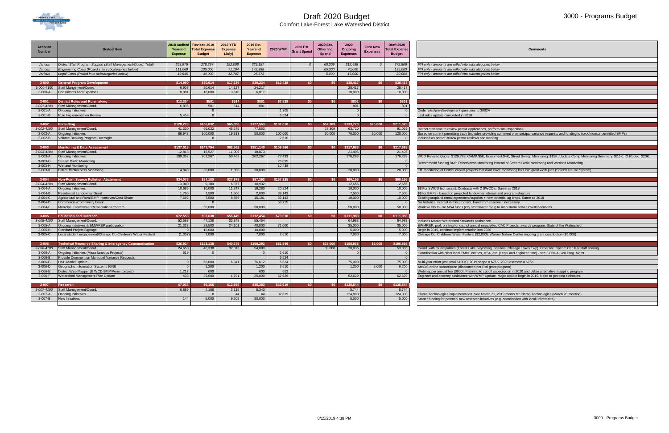

Comfort Lake-Forest Lake Watershed District

#### 3000 - Programs Budget

| <b>Account</b><br><b>Number</b> | <b>Budget Item</b>                                                | 2018 Audited<br>Yearend<br><b>Expense</b> | <b>Revised 2019</b><br>otal Expense<br><b>Budget</b> | <b>2019 YTD</b><br><b>Expense</b><br>(July) | 2019 Est.<br>Yearend<br><b>Expense</b> | <b>2020 WMP</b> | 2020 Est.<br><b>Grant Spend</b> | 2020 Est.<br>Other Inc.<br>Spend | 2020<br>Ongoing<br><b>Expenses</b> | <b>2020 New</b><br><b>Expenses</b> | <b>Draft 2020</b><br><b>Total Expense</b><br><b>Budget</b> | <b>Comments</b>                                                                                                                                   |
|---------------------------------|-------------------------------------------------------------------|-------------------------------------------|------------------------------------------------------|---------------------------------------------|----------------------------------------|-----------------|---------------------------------|----------------------------------|------------------------------------|------------------------------------|------------------------------------------------------------|---------------------------------------------------------------------------------------------------------------------------------------------------|
|                                 |                                                                   |                                           |                                                      |                                             |                                        |                 |                                 |                                  |                                    |                                    |                                                            |                                                                                                                                                   |
| Various                         | District Staff Program Support (Staff Management/Coord. Total)    | 253,975                                   | 278,297                                              | 192,008                                     | 329,157                                |                 | $\Omega$                        | 60,309                           | 312,498                            |                                    | 372,806                                                    | FYI only - amounts are rolled into subcategories below                                                                                            |
| Various                         | Engineering Costs (Rolled in to subcategories below)              | 111,069                                   | 135,000                                              | 71,194                                      | 142,388                                |                 |                                 | 65,000                           | 70,000                             |                                    | 135,000                                                    | FYI only - amounts are rolled into subcategories below                                                                                            |
| Various                         | Legal Costs (Rolled in to subcategories below)                    | 19,545                                    | 34,000                                               | 12,787                                      | 25,573                                 |                 |                                 | 5,000                            | 15,000                             |                                    | 20,000                                                     | FYI only - amounts are rolled into subcategories below                                                                                            |
|                                 |                                                                   |                                           |                                                      |                                             |                                        | \$10,438        | \$0                             | \$0                              |                                    | \$0                                | \$38,417                                                   |                                                                                                                                                   |
| $3 - 000$                       | General Program Development                                       | \$14,990<br>6,908                         | \$30,614                                             | \$17,636                                    | \$30,234                               |                 |                                 |                                  | \$38,417                           |                                    |                                                            |                                                                                                                                                   |
| 3-000-4100<br>3-000-A           | Staff Mangement/Coord.                                            | 8,081                                     | 20,614<br>10,000                                     | 14,127<br>3,510                             | 24,217<br>6,017                        |                 |                                 |                                  | 28,417<br>10,000                   |                                    | 28,417<br>10,000                                           |                                                                                                                                                   |
|                                 | <b>Consultants and Expenses</b>                                   |                                           |                                                      |                                             |                                        |                 |                                 |                                  |                                    |                                    |                                                            |                                                                                                                                                   |
| $3 - 001$                       | <b>District Rules and Rulemaking</b>                              | \$12,354                                  | \$581                                                | \$514                                       | \$881                                  | \$7,829         | \$0                             | \$0                              | \$801                              | \$0                                | \$801                                                      |                                                                                                                                                   |
| 3-001-4100                      | Staff Management/Coord.                                           | 6,896                                     | 581                                                  | 514                                         | 881                                    |                 |                                 |                                  | 801                                |                                    | 801                                                        |                                                                                                                                                   |
| $3-001-A$                       | <b>Ongoing Initiatives</b>                                        |                                           | $\Omega$                                             |                                             |                                        | 1,305           |                                 |                                  | $\overline{0}$                     |                                    |                                                            | Code rules/pre-development questions to 3002A                                                                                                     |
| $3-001-B$                       | Rule Implementation Review                                        | 5,458                                     | $\overline{0}$                                       |                                             |                                        | 6,524           |                                 |                                  | $\Omega$                           |                                    |                                                            | Last rules update completed in 2018                                                                                                               |
|                                 |                                                                   |                                           |                                                      |                                             |                                        |                 |                                 |                                  |                                    |                                    |                                                            |                                                                                                                                                   |
| $3 - 002$                       | <b>Permitting</b>                                                 | \$128,273                                 | \$166,032                                            | \$65,058                                    | \$127,563                              | \$102,610       | \$0                             | \$57,309                         | \$133,720                          | \$20,000                           | \$211,029                                                  |                                                                                                                                                   |
| 3-002-4100                      | Staff Management/Coord.                                           | 41.330                                    | 66,032                                               | 45,245                                      | 77,563                                 |                 |                                 | 27,309                           | 63,720                             |                                    | 91,029                                                     | District staff time to review permit applications, perform site inspections.                                                                      |
| 3-002-A                         | Ongoing Initiatives                                               | 86,943                                    | 100,000                                              | 19,813                                      | 50,000                                 | 100,000         |                                 | 30,000                           | 70,000                             | 20,000                             | 120,000                                                    | Based on current permitting track (includes providing comment on municipal variance requests and funding to track/monitor permitted BMPs)         |
| 3-002-B                         | Volume Banking Program Oversight                                  |                                           |                                                      |                                             |                                        | 2,610           |                                 |                                  |                                    |                                    |                                                            | Included as part of 3002A permit reviews and tracking                                                                                             |
|                                 |                                                                   |                                           |                                                      |                                             |                                        |                 |                                 |                                  |                                    |                                    |                                                            |                                                                                                                                                   |
| $3 - 003$                       | <b>Monitoring &amp; Data Assessment</b>                           | \$137,018                                 | \$247,794                                            | \$62,562                                    | \$251,140                              | \$109,966       | \$0                             | \$0                              | \$217,688                          | \$0                                | \$217,688                                                  |                                                                                                                                                   |
| 3-003-4100                      | Staff Management/Coord.                                           | 12,818                                    | 15,527                                               | 11,009                                      | 18,873                                 |                 |                                 |                                  | 21,405                             |                                    | 21,405                                                     |                                                                                                                                                   |
| 3-003-A                         | <b>Ongoing Initiatives</b>                                        | 109,352                                   | 202,267                                              | 50,462                                      | 202,267                                | 73,433          |                                 |                                  | 176,283                            |                                    | 176,283                                                    | WCD Revised Quote: \$129,783, CAMP:\$5K, Equipment:\$4K, Street Sweep Monitoring: \$15K, Update Comp Monitoring Summary: \$2.5K. IO Rodeo: \$20K. |
| 3-003-G                         | <b>Stream Biotic Monitoring</b>                                   |                                           |                                                      |                                             |                                        | 26,095          |                                 |                                  |                                    |                                    |                                                            |                                                                                                                                                   |
| 3-003-H                         | Vetland Monitoring                                                |                                           |                                                      |                                             |                                        | 10,438          |                                 |                                  |                                    |                                    |                                                            | Recommend funding BMP Effectivness Monitoring instead of Stream Biotic Monitoring and Wetland Monitoring                                          |
| 3-003-K                         | BMP Effectiveness Monitoring                                      | 14,848                                    | 30,000                                               | 1,090                                       | 30,000                                 |                 |                                 |                                  | 20,000                             |                                    | 20,000                                                     | Eff. monitoring of District capital projects that don't have monitoring built into grant work plan (Shields Reuse System)                         |
|                                 |                                                                   |                                           |                                                      |                                             |                                        |                 |                                 |                                  |                                    |                                    |                                                            |                                                                                                                                                   |
| $3 - 004$                       | <b>Non-Point Source Pollution Abatement</b>                       | \$34,076                                  | \$84,180                                             | \$27,979                                    | \$97,393                               | \$157,225       | \$0                             | \$0                              | \$90,156                           | \$0                                | \$90,156                                                   |                                                                                                                                                   |
| 3-004-4100                      | Staff Management/Coord.                                           | 13,940                                    | 9,180                                                | 6,377                                       | 10,932                                 |                 |                                 |                                  | 12,656                             |                                    | 12,656                                                     |                                                                                                                                                   |
| $3-004-A$                       | <b>Ongoing Initiatives</b>                                        | 10.685                                    | 10,000                                               | 11,247                                      | 19,280                                 | 20,224          |                                 |                                  | 10.000                             |                                    | 10,000                                                     | \$\$ For SWCD tech assist. Contracts with 2 SWCD's. Same as 2018                                                                                  |
| $3-004-B$                       | Residential Landowner Grant                                       | 1,760                                     | 7,500                                                | 1,500                                       | 2,000                                  | 39,143          |                                 |                                  | 7,500                              |                                    | 7,500                                                      | \$\$ for BMPs - based on projected landowner interest and program structure                                                                       |
| 3-004-C                         | Agricultural and Rural BMP Incentives/Cost-Share                  | 7,692                                     | 7,500                                                | 8,856                                       | 15,181                                 | 39,143          |                                 |                                  | 10,000                             |                                    | 10,000                                                     | Existing cropland rental agreement/supplies + new potential ag bmps. Same as 2018                                                                 |
| 3-004-D                         | Commercial/Community Grant                                        |                                           | - റ                                                  |                                             |                                        | 58,715          |                                 |                                  |                                    |                                    |                                                            | No historical interest in this program. Fund from reserve if necessary                                                                            |
| 3-004-E                         | Municipal Stormwater Remediation Program                          |                                           | 50,000                                               |                                             | 50,000                                 |                 |                                 |                                  | 50,000                             |                                    | 50,000                                                     | Work w/ city to use MS4 funds (city stormwater fees) to map storm sewer inverts/locations                                                         |
| $3 - 005$                       | <b>Education and Outreach</b>                                     | \$72,553                                  | \$93,638                                             | \$56,449                                    | \$112,454                              | \$73,610        | \$0                             | \$0                              | \$111,983                          | \$0                                | \$111,983                                                  |                                                                                                                                                   |
| 3-005-4100                      | Staff Management/Coord.                                           | 52,587                                    | 47,138                                               | 32,348                                      | 55,454                                 |                 |                                 |                                  | 64,983                             |                                    | 64,983                                                     | Includes Master Watershed Stewards assistance                                                                                                     |
| $3-005-A$                       | Ongoing initiatives & EMWREP participation                        | 21,323                                    | 29,500                                               | 24,101                                      | 40,000                                 | 71,000          |                                 |                                  | 35,000                             |                                    | 35,000                                                     | EWMREP, prof. printing for district annual newsletter, CAC Projects, awards program, State of the Watershed                                       |
| 3-005-B                         | Standard Project Signage                                          |                                           | 10,000                                               |                                             | 10,000                                 |                 |                                 |                                  | 5,000                              |                                    | 5,000                                                      | Begin in 2019, continue implementation into 2020                                                                                                  |
| 3-005-C                         | Local student engagement/Chisago Co Children's Water Festival     | (1, 357)                                  | 7,000                                                |                                             | 7,000                                  | 2,610           |                                 |                                  | 7.000                              |                                    | 7,000                                                      | Chisago Co. Childrens Water Festival (\$2,000), Warner Nature Center ongoing grant contribution (\$5,000)                                         |
|                                 |                                                                   |                                           |                                                      |                                             |                                        |                 |                                 |                                  |                                    |                                    |                                                            |                                                                                                                                                   |
| $3 - 006$                       | <b>Technical Resource Sharing &amp; Interagency Communication</b> | \$26,924                                  | \$123,138                                            | \$40,745                                    | \$158,292                              | \$81,549        | \$0                             | \$33,000                         | \$158,865                          | \$5,000                            | \$196,865                                                  |                                                                                                                                                   |
| 3-006-4100                      | Staff Management/Coord.                                           | 24,650                                    | 46,338                                               | 32,013                                      | 54,880                                 |                 |                                 | 33,000                           | 20,036                             |                                    | 53,036                                                     | Coord. with municipalities (Forest Lake, Wyoming, Scandia, Chisago Lakes Twp). Other Inc. Spend: Car Mar staff sharing                            |
| 3-006-A                         | Ongoing Initiatives (Miscellaneous Projects)                      | 619                                       |                                                      |                                             |                                        | 2,610           |                                 |                                  |                                    |                                    |                                                            | Coordination with other local TMDL entities, MS4, etc. (Legal and engineer time) - see 3-000-A Gen Prog. Mgmt                                     |
| 3-006-B                         | Provide Comment on Municipal Variance Requests                    |                                           |                                                      |                                             |                                        | 6,524           |                                 |                                  |                                    |                                    |                                                            |                                                                                                                                                   |
| 3-006-C                         | H&H Model Update                                                  | $\overline{0}$                            | 50,000                                               | 6,941                                       | 76,612                                 | 6,524           |                                 |                                  | 75,000                             |                                    | 75,000                                                     | Multi-year effort (est. total \$100K). 2019 scope = \$76K. 2020 estimate = \$75K                                                                  |
| 3-006-D                         | Geographic Information Systems (GIS)                              |                                           | 1,200                                                |                                             | 1,200                                  | 2,610           |                                 |                                  | 1,200                              | 5,000                              | 6,200                                                      | ArcGIS online subscription (discounted per Esri grant program)                                                                                    |
| 3-006-E                         | District Web Mapper (& WCD BMP/Permit project)                    | 1,217                                     | 600                                                  |                                             | 600                                    | 652             |                                 |                                  |                                    |                                    |                                                            | Webmapper annual fee (\$600). Planning to cut off subscription in 2020 and utilize alternative mapping program.                                   |
| 3-006-F                         | Vatershed Management Plan Update                                  | 438                                       | 25,000                                               | 1,791                                       | 25,000                                 | 62,629          |                                 |                                  | 62,629                             |                                    | 62,629                                                     | Engineer and attorney assistance with WMP Update. Major update begin in 2019. Need to get cost estimates.                                         |
|                                 |                                                                   |                                           |                                                      |                                             |                                        |                 |                                 |                                  |                                    |                                    |                                                            |                                                                                                                                                   |
| $3 - 007$                       | Research                                                          | \$7,033                                   | \$9,166                                              | \$12,368                                    | \$35,383                               | \$32,619        | \$0                             | \$0                              | \$135,544                          | \$0                                | \$135,544                                                  |                                                                                                                                                   |
| 3-007-4100                      | Staff Management/Coord.                                           | 6,889                                     | 4,166                                                | 3,115                                       | 5,340                                  |                 |                                 |                                  | 5,744                              |                                    | 5,744                                                      |                                                                                                                                                   |
| 3-007-A                         | <b>Dngoing Initiatives</b>                                        |                                           |                                                      | 44                                          | 44                                     | 32,619          |                                 |                                  | 124,800                            |                                    | 124,800                                                    | Claros Technologies implementation. See March 21, 2019 memo re: Claros Technologies (March 28 meeting)                                            |
| 3-007-B                         | New Initiatives                                                   | 144                                       | 5,000                                                | 9,209                                       | 30,000                                 |                 |                                 |                                  | 5.000                              |                                    | 5,000                                                      | Starter funding for potential new research initiatives (e.g. coordination with local universities)                                                |
|                                 |                                                                   |                                           |                                                      |                                             |                                        |                 |                                 |                                  |                                    |                                    |                                                            |                                                                                                                                                   |

| <b>Comments</b>                                                                                                                                                                                                                         |
|-----------------------------------------------------------------------------------------------------------------------------------------------------------------------------------------------------------------------------------------|
|                                                                                                                                                                                                                                         |
| FYI only - amounts are rolled into subcategories below<br>FYI only - amounts are rolled into subcategories below                                                                                                                        |
| FYI only - amounts are rolled into subcategories below                                                                                                                                                                                  |
|                                                                                                                                                                                                                                         |
|                                                                                                                                                                                                                                         |
|                                                                                                                                                                                                                                         |
|                                                                                                                                                                                                                                         |
|                                                                                                                                                                                                                                         |
|                                                                                                                                                                                                                                         |
| Code rules/pre-development questions to 3002A                                                                                                                                                                                           |
| Last rules update completed in 2018                                                                                                                                                                                                     |
|                                                                                                                                                                                                                                         |
| District staff time to review permit applications, perform site inspections.                                                                                                                                                            |
| Based on current permitting track (includes providing comment on municipal variance requests and funding to track/monitor permitted BMPs)                                                                                               |
| Included as part of 3002A permit reviews and tracking                                                                                                                                                                                   |
|                                                                                                                                                                                                                                         |
|                                                                                                                                                                                                                                         |
|                                                                                                                                                                                                                                         |
| WCD Revised Quote: \$129,783, CAMP:\$5K, Equipment:\$4K, Street Sweep Monitoring: \$15K, Update Comp Monitoring Summary: \$2.5K. IO Rodeo: \$20K.                                                                                       |
| Recommend funding BMP Effectivness Monitoring instead of Stream Biotic Monitoring and Wetland Monitoring                                                                                                                                |
| Eff. monitoring of District capital projects that don't have monitoring built into grant work plan (Shields Reuse System)                                                                                                               |
|                                                                                                                                                                                                                                         |
|                                                                                                                                                                                                                                         |
| \$\$ For SWCD tech assist. Contracts with 2 SWCD's. Same as 2018                                                                                                                                                                        |
| \$\$ for BMPs - based on projected landowner interest and program structure                                                                                                                                                             |
| Existing cropland rental agreement/supplies + new potential ag bmps. Same as 2018                                                                                                                                                       |
| No historical interest in this program. Fund from reserve if necessary.                                                                                                                                                                 |
| Work w/ city to use MS4 funds (city stormwater fees) to map storm sewer inverts/locations                                                                                                                                               |
|                                                                                                                                                                                                                                         |
| Includes Master Watershed Stewards assistance                                                                                                                                                                                           |
| EWMREP, prof. printing for district annual newsletter, CAC Projects, awards program, State of the Watershed                                                                                                                             |
| Begin in 2019, continue implementation into 2020                                                                                                                                                                                        |
| Chisago Co. Childrens Water Festival (\$2,000), Warner Nature Center ongoing grant contribution (\$5,000)                                                                                                                               |
|                                                                                                                                                                                                                                         |
|                                                                                                                                                                                                                                         |
| Coord. with municipalities (Forest Lake, Wyoming, Scandia, Chisago Lakes Twp). Other Inc. Spend: Car Mar staff sharing<br>Coordination with other local TMDL entities, MS4, etc. (Legal and engineer time) - see 3-000-A Gen Prog. Mgmt |
|                                                                                                                                                                                                                                         |
| Multi-year effort (est. total \$100K). 2019 scope = \$76K. 2020 estimate = \$75K                                                                                                                                                        |
| ArcGIS online subscription (discounted per Esri grant program)                                                                                                                                                                          |
| Webmapper annual fee (\$600). Planning to cut off subscription in 2020 and utilize alternative mapping program.                                                                                                                         |
| Engineer and attorney assistance with WMP Update. Major update begin in 2019. Need to get cost estimates.                                                                                                                               |
|                                                                                                                                                                                                                                         |
|                                                                                                                                                                                                                                         |
| Claros Technologies implementation. See March 21, 2019 memo re: Claros Technologies (March 28 meeting)                                                                                                                                  |
|                                                                                                                                                                                                                                         |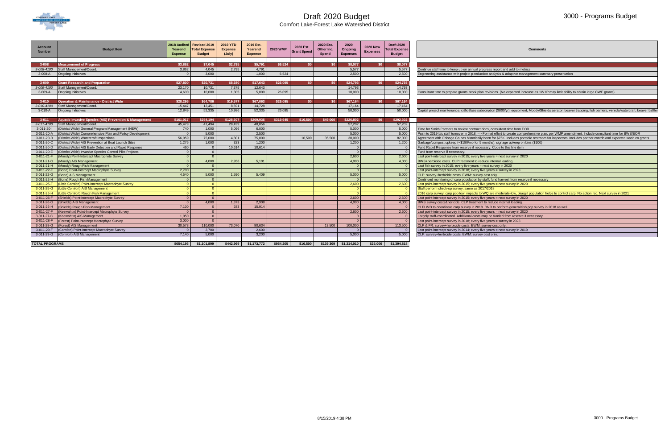

Comfort Lake-Forest Lake Watershed District

#### 3000 - Programs Budget

**Comments** 

alysis & adaptive management summary presentation

ions. (No expected increase as 1W1P may limit ability to obtain large CWF grants)

on (\$800/yr), equipment, Moody/Shields aerator, beaver trapping, fish barriers, vehicle/watercraft, beaver baffler

al effort to create comprehensive plan, per WMP amendment. Include consultant time for BWS/EOR for \$75K. Includes portable restroom for inspectors. Includes partner contrib and expected wash co grants s), signage upkeep on bins (\$100)<br>Code to this line item only<br>fund harvest from reserve if necessary <sup>110</sup><br>are moderate-low, bluegill population helps to control carp. No action rec. Next survey in 2021<br>duce internal loading.<br>**Algement of a control carp.** No action of the moderate internal loading. to perform general fish pop survey in 2018 as well <sup>3</sup> funded from reserve if necessary<br>ars = survey in 2023

| Account<br><b>Number</b> | <b>Budget Item</b>                                                | 2018 Audited<br>Yearend<br><b>Expense</b> | Revised 2019<br><b>Total Expense</b><br><b>Budget</b> | 2019 YTD<br><b>Expense</b><br>(July) | 2019 Est.<br>Yearend<br><b>Expense</b> | <b>2020 WMP</b> | 2020 Est.<br><b>Grant Spend</b> | 2020 Est.<br>Other Inc.<br><b>Spend</b> | 2020<br>Ongoing<br><b>Expenses</b> | <b>2020 New</b><br><b>Expenses</b> | <b>Draft 2020</b><br>otal Expense<br><b>Budget</b> |                                                                                                                                                           |
|--------------------------|-------------------------------------------------------------------|-------------------------------------------|-------------------------------------------------------|--------------------------------------|----------------------------------------|-----------------|---------------------------------|-----------------------------------------|------------------------------------|------------------------------------|----------------------------------------------------|-----------------------------------------------------------------------------------------------------------------------------------------------------------|
|                          |                                                                   |                                           |                                                       |                                      |                                        |                 | SO.                             | S <sub>0</sub>                          |                                    | SO <sub>2</sub>                    |                                                    |                                                                                                                                                           |
| $3 - 008$<br>3-008-4100  | <b>Measurement of Progress</b><br>Staff Management/Coord.         | \$3,862<br>3,862                          | \$7,045<br>4,045                                      | \$2,795<br>2,795                     | \$5,791<br>4,791                       | \$6,524         |                                 |                                         | \$8,077<br>5,577                   |                                    | \$8,077<br>5,577                                   |                                                                                                                                                           |
| 3-008-A                  | <b>Ongoing Initiatives</b>                                        | $\Omega$                                  | 3,000                                                 |                                      | 1,000                                  | 6,524           |                                 |                                         | 2,500                              |                                    | 2,500                                              | Continue staff time to keep up on annual progress report and add to metrics<br>Engineering assistance with project p-reduction analysis & adaptive manage |
|                          |                                                                   |                                           |                                                       |                                      |                                        |                 |                                 |                                         |                                    |                                    |                                                    |                                                                                                                                                           |
| $3 - 009$                | <b>Grant Research and Preparation</b>                             | \$27,800                                  | \$20,731                                              | \$8,680                              | \$17,643                               | \$26,095        | \$0                             | \$0                                     | \$24,793                           | SO <sub>2</sub>                    | \$24,793                                           |                                                                                                                                                           |
| 3-009-4100               | Staff Management/Coord.                                           | 23.170                                    | 10.731                                                | 7.375                                | 12.643                                 |                 |                                 |                                         | 14.793                             |                                    | 14,793                                             |                                                                                                                                                           |
| $3-009-A$                | Ongoing Initiatives                                               | 4.630                                     | 10,000                                                | 1,305                                | 5,000                                  | 26,095          |                                 |                                         | 10.000                             |                                    | 10,000                                             | Consultant time to prepare grants, work plan revisions. (No expected increa                                                                               |
|                          |                                                                   |                                           |                                                       |                                      |                                        |                 |                                 |                                         |                                    |                                    |                                                    |                                                                                                                                                           |
| $3 - 010$                | <b>Operation &amp; Maintenance - District Wide</b>                | \$28,296                                  | \$64.786                                              | \$19,577                             | \$67.063                               | \$26,095        | SO.                             | \$0                                     | \$67,164                           | \$0                                | \$67,164                                           |                                                                                                                                                           |
| 3-010-4100               | Staff Management/Coord.                                           | 15.447                                    | 12,451                                                | 8,591                                | 14,728                                 |                 |                                 |                                         | 17.164                             |                                    | 17,164                                             |                                                                                                                                                           |
| 3-010-A                  | <b>Ongoing Initiatives</b>                                        | 12,849                                    | 52.335                                                | 10,986                               | 52,335                                 | 26,095          |                                 |                                         | 50,000                             |                                    | 50,000                                             | Capital project maintenance, ciBioBase subscription (\$800/yr), equipment, N                                                                              |
|                          |                                                                   |                                           |                                                       |                                      |                                        |                 |                                 |                                         |                                    |                                    |                                                    |                                                                                                                                                           |
| $3 - 011$                | <b>Aquatic Invasive Species (AIS) Prevention &amp; Management</b> | \$161,017                                 | \$254,194                                             | \$128,607                            | \$269,936                              | \$319,645       | \$16,500                        | \$49,000                                | \$226,802                          | SO <sub>2</sub>                    | \$292.302                                          |                                                                                                                                                           |
| $3 - 011 - 4100$         | Staff Management/Coord.                                           | 45,479                                    | 41,494                                                | 28,499                               | 48,856                                 |                 |                                 |                                         | 57.202                             |                                    | 57,202                                             |                                                                                                                                                           |
| 3-011-20-l               | (District-Wide) General Program Management (NEW)                  | 740                                       | 1,000                                                 | 5,096                                | 6,000                                  |                 |                                 |                                         | 5,000                              |                                    | 5,000                                              | Time for Smith Partners to review contract docs, consultant time from EOR                                                                                 |
| 3-011-20-A               | (District-Wide) Comprehensive Plan and Policy Development         | $\Omega$                                  | 5,000                                                 |                                      | 2,500                                  |                 |                                 |                                         | 5.000                              |                                    | 5,000                                              | Push to 2019 b/c staff turnover in 2018. --> Formal effort to create compreh                                                                              |
| 3-011-20-B               | (District-Wide) Watercraft Inspections                            | 56,959                                    | 75,000                                                | 4.801                                | 75,000                                 |                 | 16,500                          | 35,500                                  | 30,000                             |                                    | 82,000                                             | Agreement with Chisago Co has historically been for \$75K. Includes portabl                                                                               |
| 3-011-20-C               | (District-Wide) AIS Prevention at Boat Launch Sites               | 1,276                                     | 1,000                                                 | 323                                  | 1,200                                  |                 |                                 |                                         | 1,200                              |                                    | 1,200                                              | Garbage/compost upkeep (~\$180/mo for 5 months), signage upkeep on bin                                                                                    |
| 3-011-20-D               | (District-Wide) AIS Early Detection and Rapid Response            | 460                                       | $\Omega$                                              | 10,614                               | 10.614                                 |                 |                                 |                                         |                                    |                                    | $\Omega$                                           | Fund Rapid Response from reserve if necessary. Code to this line item                                                                                     |
| 3-011-20-E               | (District-Wide) Invasive Species Control Pilot Projects           | $\Omega$                                  | $\Omega$                                              |                                      |                                        |                 |                                 |                                         | $\Omega$                           |                                    | $\Omega$                                           | Fund from reserve if necessary.                                                                                                                           |
| 3-011-21-F               | (Moody) Point-Intercept Macrophyte Survey                         | $\Omega$                                  | $\overline{0}$                                        |                                      |                                        |                 |                                 |                                         | 2,600                              |                                    | 2,600                                              | Last point-intercept survey in 2015; every five years = next survey in 2020                                                                               |
| 3-011-21-G               | (Moody) AIS Management                                            | $\Omega$                                  | 4,000                                                 | 2,956                                | 5,101                                  |                 |                                 |                                         | 4,000                              |                                    | 4,000                                              | BWS+herbicide costs. CLP treatment to reduce internal loading.                                                                                            |
| 3-011-21-H               | (Moody) Rough Fish Management                                     | $\Omega$                                  | $\Omega$                                              |                                      |                                        |                 |                                 |                                         | $\Omega$                           |                                    | $\Omega$                                           | Last fish survey in 2015; every five years = next survey in 2020                                                                                          |
| 3-011-22-F               | (Bone) Point-Intercept Macrophyte Survey                          | 2,700                                     | $\overline{0}$                                        |                                      |                                        |                 |                                 |                                         | $\Omega$                           |                                    | $\Omega$                                           | Last point-intercept survey in 2018; every five years = survey in 2023                                                                                    |
| $3-011-22-G$             | (Bone) AIS Management                                             | 4.540                                     | 5,000                                                 | 1,590                                | 5,409                                  |                 |                                 |                                         | 5,000                              |                                    | 5,000                                              | CLP: survey+herbicide costs. EWM: survey cost only                                                                                                        |
| 3-011-22-H               | (Bone) Rough Fish Management                                      | $\Omega$                                  | $\Omega$                                              |                                      |                                        |                 |                                 |                                         | $\Omega$                           |                                    | - 0                                                | Continued monitoring of carp population by staff, fund harvest from reserve                                                                               |
| 3-011-25-F               | (Little Comfort) Point-Intercept Macrophyte Survey                | $\Omega$                                  | $\overline{0}$                                        |                                      |                                        |                 |                                 |                                         | 2,600                              |                                    | 2,600                                              | Last point-intercept survey in 2015; every five years = next survey in 2020                                                                               |
| 3-011-25-G               | (Little Comfort) AIS Management                                   | $\Omega$                                  | $\Omega$                                              |                                      |                                        |                 |                                 |                                         |                                    |                                    | $\Omega$                                           | Staff perform check-up survey, same as 2017/2018                                                                                                          |
| 3-011-25-H               | (Little Comfort) Rough Fish Management                            | $\Omega$                                  | $\Omega$                                              |                                      |                                        |                 |                                 |                                         | $\Omega$                           |                                    |                                                    | 2016 carp survey: carp pop low, impacts to WQ are moderate-low, bluegill p                                                                                |
| 3-011-26-F               | (Shields) Point-Intercept Macrophyte Survey                       | $\Omega$                                  | $\overline{0}$                                        |                                      |                                        |                 |                                 |                                         | 2,600                              |                                    | 2,600                                              | Last point-intercept survey in 2015; every five years = next survey in 2020                                                                               |
| 3-011-26-G               | (Shields) AIS Management                                          | $\Omega$                                  | 4.000                                                 | 1.373                                | 2.908                                  |                 |                                 |                                         | 4.000                              |                                    | 4,000                                              | BWS survey costs&hericide, CLP treatment to reduce internal loading.                                                                                      |
| 3-011-26-H               | (Shields) Rough Fish Management                                   | 7,100                                     | $\Omega$                                              | 283                                  | 15,914                                 |                 |                                 |                                         | $\Omega$                           |                                    | - 0                                                | CLFLWD to coordinate carp survey in 2018. DNR to perform general fish po                                                                                  |
| 3-011-27-F               | (Keewahtin) Point-Intercept Macrophyte Survey                     | $\Omega$                                  | $\Omega$                                              |                                      |                                        |                 |                                 |                                         | 2,600                              |                                    | 2,600                                              | Last point-intercept survey in 2015; every five years = next survey in 2020                                                                               |
| 3-011-27-G               | (Keewahtin) AIS Management                                        | 1,050                                     | $\mathbf{0}$                                          |                                      |                                        |                 |                                 |                                         |                                    |                                    | $\Omega$                                           | Largely staff-coordinated. Additional costs may be funded from reserve if ne                                                                              |
| 3-011-28-F               | (Forest) Point-Intercept Macrophyte Survey                        | 3,000                                     | $\Omega$                                              |                                      |                                        |                 |                                 |                                         | $\Omega$                           |                                    |                                                    | Last point-intercept survey in 2018; every five years = survey in 2023                                                                                    |
| 3-011-28-G               | (Forest) AIS Management                                           | 30,573                                    | 110,000                                               | 73,070                               | 90.634                                 |                 |                                 | 13,500                                  | 100,000                            |                                    | 113,500                                            | CLP & FR: survey+herbicide costs. EWM: survey cost only.                                                                                                  |
| 3-011-29-F               | Comfort) Point-Intercept Macrophyte Survey                        | $\Omega$                                  | 2,700                                                 |                                      | 2,600                                  |                 |                                 |                                         |                                    |                                    |                                                    | Last point-intercept survey in 2014; every five years = next survey in 2019                                                                               |
| 3-011-29-G               | (Comfort) AIS Management                                          | 7.140                                     | 5,000                                                 |                                      | 3.200                                  |                 |                                 |                                         | 5.000                              |                                    | 5.000                                              | CLP: survey+herbicide costs. EWM: survey cost only.                                                                                                       |
| <b>TOTAL PROGRAMS</b>    |                                                                   | \$654,196                                 | \$1,101,899                                           | \$442,969                            | \$1,173,772                            | \$954,205       | \$16,500                        | \$139,309                               | \$1,214,010                        | \$25,000                           | \$1,394,818                                        |                                                                                                                                                           |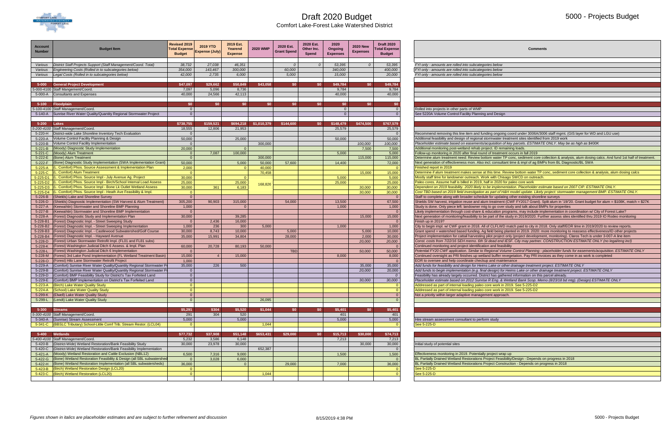

Comfort Lake-Forest Lake Watershed District

#### 5000 - Projects Budget

| Comments                                                                                                                                                                               |
|----------------------------------------------------------------------------------------------------------------------------------------------------------------------------------------|
|                                                                                                                                                                                        |
| s below!                                                                                                                                                                               |
| s below!                                                                                                                                                                               |
| s below!                                                                                                                                                                               |
|                                                                                                                                                                                        |
|                                                                                                                                                                                        |
|                                                                                                                                                                                        |
|                                                                                                                                                                                        |
|                                                                                                                                                                                        |
|                                                                                                                                                                                        |
| nd Design                                                                                                                                                                              |
|                                                                                                                                                                                        |
|                                                                                                                                                                                        |
| ig ongoing coord under 3006A/3006 staff mgmt. (GIS layer for WD and LGU use)                                                                                                           |
| mwater treatment sites identified from 2019 work                                                                                                                                       |
| quisition of key parcels. ESTIMATE ONLY. May be as high as \$400K                                                                                                                      |
| ct. ID remaining loads.                                                                                                                                                                |
| of treatment occurs in fall 2019                                                                                                                                                       |
| m water TP conc, sediment core collection & analysis, alum dosing calcs. And fund 1st half of treatment.                                                                               |
| I. consultant time & impl of ag BMPs from BL Diagnostic/BL SWA                                                                                                                         |
| iis time. Review bottom water TP conc, sediment core collection & analysis, alum dosing calcs                                                                                          |
| with Chisago SWCD on outreach.                                                                                                                                                         |
| in 2020 for paleo core work                                                                                                                                                            |
| e implementation. Placeholder estimate based on 2007 CIP. ESTIMATE ONLY.                                                                                                               |
| part of H&H model update. Likely project: stormwater management BMP. ESTIMATE ONLY.                                                                                                    |
| for updating other existing shoreline surveys                                                                                                                                          |
| treatment (CWF FY2017 Grant). Split alum in '19/'20. Grant budget for alum = \$108K, match = \$27K                                                                                     |
| o go over study and talk about BMPs for properties                                                                                                                                     |
| ucation programs, may include implementation in coordination w/ City of Forest Lake?                                                                                                   |
| art of the study in 2019/2020. Further assess sites identified thru 2019 IO Rodeo monitoring                                                                                           |
|                                                                                                                                                                                        |
| CLFLWD match paid to city in 2018. Only staff/EOR time in 2019/2020 to review reports.<br>eld being planted in 2019. 2020: more monitoring to reassess effectiveness/ID other projects |
| ot project only (project development, monitoring). Claros Tech is under 3-007-A line item                                                                                              |
| dead end IESF. City may partner. CONSTRUCTION ESTIMATE ONLY (no legal/eng incl)                                                                                                        |
| and feasibility                                                                                                                                                                        |
| gional Volume Control Planning - placeholder funds for easements/acquisition. ESTIMATE ONLY                                                                                            |
| d buffer revegetation. Pay PRI invoices as they come in as work is completed                                                                                                           |
| and maintenance                                                                                                                                                                        |
| ake or other drainage treatment project. ESTIMATE ONLY                                                                                                                                 |
| lesign) for Heims Lake or other drainage treatment project. ESTIMATE ONLY                                                                                                              |
| thas gathered information on this parcel already.                                                                                                                                      |
| R Eng. & Wetland Bank Scop. Memo (8/23/18 bd mtg). (Design) ESTIMATE ONLY<br>e work in 2019. See 5-225-D2                                                                              |
| e work in 2019. See 5-225-D2                                                                                                                                                           |
| nt approach.                                                                                                                                                                           |
|                                                                                                                                                                                        |
|                                                                                                                                                                                        |
|                                                                                                                                                                                        |
|                                                                                                                                                                                        |
| study                                                                                                                                                                                  |
|                                                                                                                                                                                        |
|                                                                                                                                                                                        |
|                                                                                                                                                                                        |
|                                                                                                                                                                                        |
|                                                                                                                                                                                        |
| oject wrap up                                                                                                                                                                          |
| ect Feasibility/Design - Depends on progress in 2018                                                                                                                                   |
| ect Construction - Depends on progress in 2018                                                                                                                                         |

| Account                  | <b>Budget Item</b>                                                                                                                | <b>Revised 2019</b><br><b>Total Expense</b> | <b>2019 YTD</b>       | 2019 Est.<br>Yearend | <b>2020 WMP</b> | 2020 Est.          | 2020 Est.<br>Other Inc. | 2020<br>Ongoing | <b>2020 New</b> | <b>Draft 2020</b><br><b>Total Expense</b> | <b>Comments</b>                                                                                                                                                                                                                                 |
|--------------------------|-----------------------------------------------------------------------------------------------------------------------------------|---------------------------------------------|-----------------------|----------------------|-----------------|--------------------|-------------------------|-----------------|-----------------|-------------------------------------------|-------------------------------------------------------------------------------------------------------------------------------------------------------------------------------------------------------------------------------------------------|
| <b>Number</b>            |                                                                                                                                   | <b>Budget</b>                               | <b>Expense (July)</b> | <b>Expense</b>       |                 | <b>Grant Spend</b> | Spend                   | <b>Expenses</b> | <b>Expenses</b> | <b>Budget</b>                             |                                                                                                                                                                                                                                                 |
|                          |                                                                                                                                   |                                             |                       |                      |                 |                    |                         |                 |                 |                                           |                                                                                                                                                                                                                                                 |
| Various                  | District Staff Projects Support (Staff Management/Coord. Total)                                                                   | 38,732                                      | 27,038                | 46,351               |                 | $\Omega$           |                         | 53,395          | $\Omega$        | 53,395                                    | FYI only - amounts are rolled into subcategories below                                                                                                                                                                                          |
| Various                  | Engineering Costs (Rolled in to subcategories below)                                                                              | 354,000                                     | 143,467               | 300,000              |                 | 60,000             |                         | 340,000         |                 | 400,000                                   | FYI only - amounts are rolled into subcategories below                                                                                                                                                                                          |
| Various                  | Legal Costs (Rolled in to subcategories below)                                                                                    | 42,000                                      | 2,735                 | 6,000                |                 | 5,000              |                         | 15,000          |                 | 20,000                                    | FYI only - amounts are rolled into subcategories below                                                                                                                                                                                          |
|                          |                                                                                                                                   |                                             |                       |                      |                 |                    |                         |                 |                 |                                           |                                                                                                                                                                                                                                                 |
| $5 - 000$                | <b>General Project Development</b>                                                                                                | \$47,097                                    | \$29,662              | \$50,849             | \$43,058        | \$0                | \$0                     | \$49,784        | \$0             | \$49,784                                  |                                                                                                                                                                                                                                                 |
|                          | 5-000-4100 Staff Mangement/Coord.                                                                                                 | 7,097                                       | 5,096                 | 8,736                |                 |                    |                         | 9,784           |                 | 9,784                                     |                                                                                                                                                                                                                                                 |
| 5-000-A                  | Consultants and Expenses                                                                                                          | 40,000                                      | 24,566                | 42,113               |                 |                    |                         | 40,000          |                 | 40,000                                    |                                                                                                                                                                                                                                                 |
| $5 - 100$                | Floodplain                                                                                                                        | \$0                                         | \$0                   | \$0                  | \$0             | \$0\$              | \$0                     | \$0\$           | \$0             | \$0                                       |                                                                                                                                                                                                                                                 |
|                          | 5-100-4100 Staff Management/Coord.                                                                                                | $\overline{0}$                              |                       |                      |                 |                    |                         | $\Omega$        |                 | $\overline{0}$                            | Rolled into projects in other parts of WMP                                                                                                                                                                                                      |
| 5-140-A                  | Sunrise River Water Quality/Quantity Regional Stormwater Project                                                                  | $\Omega$                                    |                       |                      |                 |                    |                         | $\Omega$        |                 | $\Omega$                                  | See 5220A Volume Control Facility Planning and Design                                                                                                                                                                                           |
|                          |                                                                                                                                   |                                             |                       |                      |                 |                    |                         |                 |                 |                                           |                                                                                                                                                                                                                                                 |
| $5 - 200$                | Lakes                                                                                                                             | \$738,755                                   | \$159,521             | \$694,218            | \$1,010,379     | \$144,600          | \$0.                    | \$148,479       | \$474,500       | \$767,579                                 |                                                                                                                                                                                                                                                 |
|                          | 5-200-4100 Staff Management/Coord.                                                                                                | 18,555                                      | 12,806                | 21,953               |                 |                    |                         | 25,579          |                 | 25,579                                    |                                                                                                                                                                                                                                                 |
| 5-220-H                  | District-wide Lake Shoreline Inventory Tech Evaluation                                                                            | $\Omega$                                    |                       |                      |                 |                    |                         |                 |                 | $\overline{0}$                            | Recommend removing this line item and funding ongoing coord under 3006A/3006 staff mgmt. (GIS layer for WD and LGU use)                                                                                                                         |
| 5-220-A                  | Volume Control Facility Planning & Design                                                                                         | 50,000                                      |                       | 25,000               |                 |                    |                         | 50,000          |                 | 50,000                                    | Additional feasibility and design of regional stormwater treatment sites identified from 2019 work                                                                                                                                              |
| 5-220-B                  | Volume Control Facility Implementation                                                                                            | $\Omega$                                    |                       |                      | 300,000         |                    |                         |                 | 100,000         | 100,000                                   | Placeholder estimate based on easements/acquisition of key parcels. ESTIMATE ONLY. May be as high as \$400K                                                                                                                                     |
| $5 - 221 - B$<br>5-221-C | (Moody) Diagnostic Study Implementation<br>(Moody) Alum Treatment                                                                 | 20,000<br>$\Omega$                          | 7,087                 | 100,000              |                 |                    |                         | 5,000           | 7,500           | 7,500<br>5,000                            | Additional monitoring post-wetland rehab project. ID remaining loads.<br>Follow-up monitoring in 2020 after final round of treatment occurs in fall 2019                                                                                        |
| 5-222-E                  | (Bone) Alum Treatment                                                                                                             | $\Omega$                                    |                       |                      | 300,000         |                    |                         |                 | 115,000         | 115,000                                   | Determine alum treatment need: Review bottom water TP conc, sediment core collection & analysis, alum dosing calcs. And fund 1st half of treatm                                                                                                 |
| $5 - 222 - F$            | Bone) Diagnostic Study Implementation (SWA Implementation Grant)                                                                  | 50,000                                      |                       | 5,000                | 50,000          | 57,600             |                         | 14,400          |                 | 72,000                                    | Next generation of effectiveness mon. Also incl. consultant time & impl of ag BMPs from BL Diagnostic/BL SWA                                                                                                                                    |
| $5 - 225 - A$            | Comfort) Phos. Source Assessment & Implementation Plan                                                                            | 2,000                                       |                       |                      | 40,000          |                    |                         |                 |                 |                                           | Finished report in 2019                                                                                                                                                                                                                         |
| $5 - 225 - C$            | Comfort) Alum Treatment                                                                                                           | <u>__</u>                                   |                       |                      | 70.458          |                    |                         |                 | 15.000          | 15,000                                    | Determine if alum treatment makes sense at this time. Review bottom water TP conc, sediment core collection & analysis, alum dosing calcs                                                                                                       |
| 5-225-D1                 | Comfort) Phos. Source Impl - July Avenue Ag. Project                                                                              | 30,000                                      |                       |                      |                 |                    |                         | 5,000           |                 | 5,000                                     | Mostly staff time for landowner outreach. Work with Chisago SWCD on outreach.                                                                                                                                                                   |
| 5-225-D2                 | Comfort) Phos. Source Impl - Birch/School Internal Load Assess                                                                    | 25,000                                      |                       | 25,000               | 168,826         |                    |                         | 25,000          |                 | 25,000                                    | Paleo cores. Assume half is billed in 2019, half in 2020 for paleo core work                                                                                                                                                                    |
| 5-225-D3                 | Comfort) Phos. Source Impl - Bone Lk Outlet Wetland Assess                                                                        | 30,000                                      | 361                   | 6,183                |                 |                    |                         |                 | 30,000          | 30,000                                    | Dependent on 2019 feasibility. 2020 likely to be implementation. Placeholder estimate based on 2007 CIP. ESTIMATE ONLY.                                                                                                                         |
| 5-225-D4                 | Comfort) Phos. Source Impl - Heath Ave Feasibility & Impl.                                                                        | $\Omega$<br>$\Omega$                        |                       |                      |                 |                    |                         |                 | 30.000          | 30,000<br>$\cap$                          | Cost TBD based on 2019 field investigation as part of H&H model update. Likely project: stormwater management BMP. ESTIMATE ONLY.                                                                                                               |
| 5-226-B<br>$5 - 226 - D$ | (Shields) Lake and Shoreline Survey<br>(Shields) Diagnostic Implementation (SW Harvest & Alum Treatment)                          | 305,200                                     | 90.903                | 315.000              |                 | 54.000             |                         | 13.500          |                 | 67,500                                    | Staff to complete along with broader schedule for updating other existing shoreline surveys<br>Shields SW harvest, irrigation reuse and alum treatment (CWF FY2017 Grant). Split alum in '19/'20. Grant budget for alum = \$108K, match = \$27K |
| $5 - 227 - A$            | Keewahtin) Stormwater and Shoreline BMP Planning                                                                                  | 1,000                                       |                       |                      |                 |                    |                         | 1,000           |                 | 1,000                                     | Study is done. Only piece left: landowner mtg to go over study and talk about BMPs for properties                                                                                                                                               |
| $5 - 227 - B$            | (Keewahtin) Stormwater and Shoreline BMP Implementation                                                                           | $\Omega$                                    |                       |                      |                 |                    |                         |                 |                 | $\Omega$                                  | Likely implementation through cost-share & education programs, may include implementation in coordination w/ City of Forest Lake?                                                                                                               |
| 5-228-A                  | (Forest) Diagnostic Study and Implementation Plan                                                                                 | 30,000                                      |                       | 39,285               |                 |                    |                         |                 | 15,000          | 15,000                                    | Next generation of monitoring/feasibility to be part of the study in 2019/2020. Further assess sites identified thru 2019 IO Rodeo monitoring                                                                                                   |
| 5-228-B1                 | (Forest) Diagnostic Impl. - Street Sweeping Study                                                                                 | $\Omega$                                    | 2,436                 | 16,000               |                 |                    |                         |                 |                 | $\cap$                                    | Finish up in 2019?                                                                                                                                                                                                                              |
| 5-228-B2                 | (Forest) Diagnostic Impl. - Street Sweeping Implementation                                                                        | 1,000                                       | 236                   | 300                  | 5,000           |                    |                         | 1,000           |                 | 1,000                                     | City to begin impl. w/ CWF grant in 2018. All of CLFLWD match paid to city in 2018. Only staff/EOR time in 2019/2020 to review reports.                                                                                                         |
| 5-228-B3                 | (Forest) Diagnostic Impl. - Castlewood Subwatershed/Golf Course                                                                   | 30,000                                      | 8,743                 | 10,000               |                 | 5,000              |                         |                 | 5,000           | 10,000                                    | Grant spend = watershed based funding. Ag field being planted in 2019. 2020: more monitoring to reassess effectiveness/ID other projects                                                                                                        |
| 5-228-B4                 | (Forest) Diagnostic Impl. - Hayward Avenue                                                                                        | 35,000                                      | 15,991                | 34,804               |                 | 28,000             |                         |                 | 2,000           | 30,000                                    | Project implementation for cattail harvesting pilot project only (project development, monitoring). Claros Tech is under 3-007-A line item                                                                                                      |
| 5-228-D                  | (Forest) Urban Stormwater Retrofit Impl. (FL01 and FL81 subs)                                                                     |                                             |                       |                      |                 |                    |                         |                 | 20,000          | 20,000                                    | Const. costs from 7/22/16 SEH memo. 6th St dead end IESF. City may partner. CONSTRUCTION ESTIMATE ONLY (no legal/eng incl)                                                                                                                      |
| $5 - 228 - K$<br>5-228-L | (Forest) Washington Judicial Ditch 6 Assess. & Impl. Plan<br>(Forest) Washington Judicial Ditch 6 Implementation                  | 60,000<br>$\Omega$                          | 20,728                | 80,193               | 50,000          | <b>TBD</b>         |                         |                 | 50,000          | $\Omega$<br>50,000                        | Continued monitoring and project identification and feasibility<br>Potential FY20 CWF application. Similar to Regional Volume Control Planning - placeholder funds for easements/acquisition. ESTIMATE ONLY                                     |
| 5-228-M                  | (Forest) 3rd Lake Pond Implementation (FL Wetland Treatment Basin)                                                                | 15,000                                      | $\overline{4}$        | 15,000               |                 |                    |                         | 8,000           |                 | 8,000                                     | Continued oversight as PRI finishes up wetland buffer revegetation. Pay PRI invoices as they come in as work is completed                                                                                                                       |
| $5 - 228 - 0$            | (Forest) Hilo Lane Stormwater Retrofit Project                                                                                    | 1,000                                       |                       |                      |                 |                    |                         |                 |                 |                                           | EOR to oversee and help coordinate checkup and maintenance                                                                                                                                                                                      |
| 5-229-A                  | (Comfort) Sunrise River Water Quality/Quantity Regional Stormwater Pr                                                             | 35,000                                      | 226                   | 500                  |                 |                    |                         |                 | 35,000          | 35,000                                    | Add funds for feasibility and design for Heims Lake or other drainage treatment project. ESTIMATE ONLY                                                                                                                                          |
| 5-229-B                  | (Comfort) Sunrise River Water Quality/Quantity Regional Stormwater Pr                                                             | $\mathbf{0}$                                |                       |                      |                 |                    |                         |                 | 20,000          | 20,000                                    | Add funds to begin implementation (e.g. final design) for Heims Lake or other drainage treatment project. ESTIMATE ONLY                                                                                                                         |
| 5-229-D                  | (Comfort) BMP Feasibility Study for District's Tax Forfeited Land                                                                 | $\overline{0}$                              |                       |                      |                 |                    |                         |                 |                 | $\Omega$                                  | Feasibility has already largely occurred. District has gathered information on this parcel already.                                                                                                                                             |
| 5-229-E                  | (Comfort) BMP Implementation on District's Tax Forfeited Land                                                                     | $\overline{0}$                              |                       |                      |                 |                    |                         |                 | 30,000          | 30,000                                    | Placeholder estimate based on 2012 Sunrise R Eng. & Wetland Bank Scop. Memo (8/23/18 bd mtg). (Design) ESTIMATE ONLY                                                                                                                            |
| $5 - 223 - A$            | (Birch) Lake Water Quality Study                                                                                                  | $\Omega$                                    |                       |                      |                 |                    |                         |                 |                 | $\Omega$                                  | Addressed as part of internal loading paleo core work in 2019. See 5-225-D2                                                                                                                                                                     |
| $5 - 224 - A$            | (School) Lake Water Quality Study                                                                                                 | $\Omega$                                    |                       |                      |                 |                    |                         |                 |                 | $\cap$                                    | Addressed as part of internal loading paleo core work in 2019. See 5-225-D2                                                                                                                                                                     |
| 5-299-K                  | (Elwell) Lake Water Quality Study<br>(Lendt) Lake Water Quality Study                                                             | 0 <sup>1</sup><br>$\Omega$                  |                       |                      | 26,095          |                    |                         |                 |                 |                                           | Not a priority within larger adaptive management approach.                                                                                                                                                                                      |
| 5-299-L                  |                                                                                                                                   |                                             |                       |                      |                 |                    |                         |                 |                 |                                           |                                                                                                                                                                                                                                                 |
|                          | 5-300 Streams                                                                                                                     | \$5,291                                     | \$304                 | \$5,520              | \$1,044         | <b>SO</b>          | \$0                     | \$5,401         | \$0             | \$5,401                                   |                                                                                                                                                                                                                                                 |
|                          | 5-300-4100 Staff Management/Coord.                                                                                                | 291                                         | 304                   | 520                  |                 |                    |                         | 401             |                 | 401                                       |                                                                                                                                                                                                                                                 |
|                          | 5-340-A (Sunrise) Stream Assessment                                                                                               | 5,000                                       |                       | 5,000                |                 |                    |                         | 5,000           |                 | 5,000                                     | Hire stream assessment consultant to perform study                                                                                                                                                                                              |
|                          | 5-341-C   (BBSLC Tributary) School-Little Comf Trib. Stream Restor. (LCL04)                                                       |                                             |                       |                      | 1,044           |                    |                         |                 |                 |                                           | See 5-225-D                                                                                                                                                                                                                                     |
|                          |                                                                                                                                   |                                             |                       |                      |                 |                    |                         |                 |                 |                                           |                                                                                                                                                                                                                                                 |
|                          | 5-400 Wetlands                                                                                                                    | \$77,732                                    | \$37,908              | \$51,148             | \$653,431       | \$29,000           | \$O                     | \$15,713        | \$30,000        | \$74,713                                  |                                                                                                                                                                                                                                                 |
|                          | 5-400-4100 Staff Management/Coord.                                                                                                | 5,232                                       | 3,586                 | 6,148                |                 |                    |                         | 7,213           |                 | 7,213                                     |                                                                                                                                                                                                                                                 |
| 5-420-B                  | (District-Wide) Wetland Restoration/Bank Feasibility Study                                                                        | 30,000                                      | 23,978                | 30,000               |                 |                    |                         |                 | 30,000          | 30,000                                    | Initial study of potential sites                                                                                                                                                                                                                |
|                          | 5-420-C   (District-Wide) Wetland Restoration/Bank Feasibility Implementation                                                     |                                             |                       |                      | 652,387         |                    |                         |                 |                 | $\cap$                                    |                                                                                                                                                                                                                                                 |
| $5 - 421 - A$            | (Moody) Wetland Restoration and Cattle Exclusion (NBL12)<br>(Bone) Wetland Restoration Feasibility & Design (all SBL subwatershed | 6,500<br>$\Omega$                           | 7,316<br>3,028        | 9,000<br>6,000       |                 |                    |                         | 1,500           |                 | 1,500                                     | Effectiveness monitoring in 2019. Potentially project wrap up<br>BL Partially Drained Wetland Restorations Project Feasibility/Design - Depends on progress in 2018                                                                             |
| 5-422-G<br>5-422-H       | (Bone) Wetland Restoration Implementation (all SBL subwatersheds)                                                                 | 36,000                                      |                       |                      |                 | 29,000             |                         | 7,000           |                 | 36,000                                    | BL Partially Drained Wetland Restorations Project Construction - Depends on progress in 2018                                                                                                                                                    |
| $5 - 423 - B$            | (Birch) Wetland Restoration Design (LCL20)                                                                                        | $\Omega$                                    |                       |                      |                 |                    |                         |                 |                 |                                           | See 5-225-D                                                                                                                                                                                                                                     |
| 5-423-C                  | (Birch) Wetland Restoration (LCL20)                                                                                               | $\Omega$                                    |                       |                      | 1,044           |                    |                         |                 |                 |                                           | See 5-225-D                                                                                                                                                                                                                                     |
|                          |                                                                                                                                   |                                             |                       |                      |                 |                    |                         |                 |                 |                                           |                                                                                                                                                                                                                                                 |

| Effectiveness monitoring in 2019. Potentially pr      |
|-------------------------------------------------------|
| <b>BL Partially Drained Wetland Restorations Proj</b> |
| <b>BL Partially Drained Wetland Restorations Proj</b> |
| See 5-225-D                                           |
| See 5-225-D                                           |
|                                                       |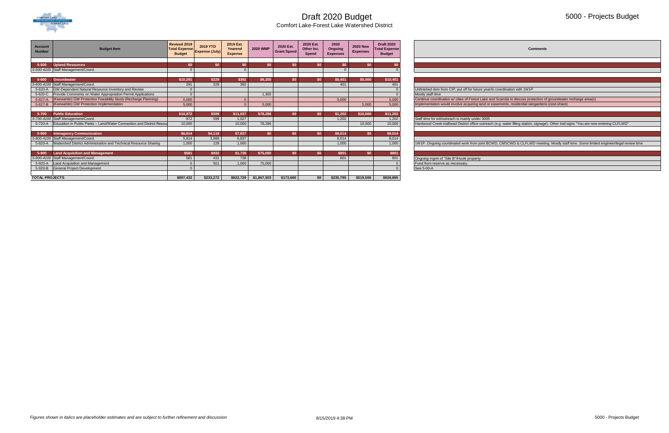

Comfort Lake-Forest Lake Watershed District

#### 5000 - Projects Budget

**Comments**  Feasign Continue coordination w/ cities of Forest Lake and Scandia to discuss protection of groundwater recharge area(s) 1W1P. Ongoing coordinated work from joint BCWD, CMSCWD & CLFLWD meeting. Mostly staff time. Some limited engineer/legal review time



| <b>Account</b><br><b>Number</b> | <b>Budget Item</b>                                                           | Revised 2019<br><b>Total Expense!</b><br><b>Budget</b> | 2019 YTD<br><b>Expense (July)</b> | 2019 Est.<br>Yearend<br><b>Expense</b> | <b>2020 WMP</b> | 2020 Est.<br><b>Grant Spend</b> | 2020 Est.<br>Other Inc.<br>Spend | 2020<br>Ongoing<br><b>Expenses</b> | <b>2020 New</b><br><b>Expenses</b> | <b>Draft 2020</b><br><b>Total Expense</b><br><b>Budget</b> | <b>Comments</b>                                                                                                                          |
|---------------------------------|------------------------------------------------------------------------------|--------------------------------------------------------|-----------------------------------|----------------------------------------|-----------------|---------------------------------|----------------------------------|------------------------------------|------------------------------------|------------------------------------------------------------|------------------------------------------------------------------------------------------------------------------------------------------|
|                                 |                                                                              |                                                        |                                   |                                        |                 |                                 |                                  |                                    |                                    |                                                            |                                                                                                                                          |
| 5-500                           | <b>Upland Resources</b>                                                      |                                                        |                                   | \$0                                    | <b>\$0</b>      | \$0.                            | \$0\$                            | \$0.                               | \$0                                |                                                            |                                                                                                                                          |
|                                 | 5-500-4100 Staff Management/Coord.                                           |                                                        |                                   |                                        |                 |                                 |                                  |                                    |                                    |                                                            |                                                                                                                                          |
|                                 |                                                                              |                                                        |                                   |                                        |                 |                                 |                                  |                                    |                                    |                                                            |                                                                                                                                          |
| $5 - 600$                       | Groundwater                                                                  | \$10,291                                               | \$229                             | \$392                                  | \$6,305         |                                 | \$O                              | \$5,401                            | \$5,000                            | \$10,401                                                   |                                                                                                                                          |
|                                 | 5-600-4100 Staff Management/Coord.                                           | 291                                                    | 229                               | 392                                    |                 |                                 |                                  | 401                                |                                    | 401                                                        |                                                                                                                                          |
| 5-620-A                         | GW-Dependent Natural Resource Inventory and Review                           |                                                        |                                   |                                        |                 |                                 |                                  |                                    |                                    |                                                            | Unfinished item from CIP; put off for future year/in coordination with 1W1P                                                              |
| 5-620-C                         | Provide Comments on Water Appropriation Permit Applications                  |                                                        |                                   |                                        | 1,305           |                                 |                                  |                                    |                                    |                                                            | Mostly staff time                                                                                                                        |
| $5-627-A$                       | (Keewahtin) GW Protection Feasibility Study (Recharge Planning)              | 5,000                                                  |                                   |                                        |                 |                                 |                                  | 5,000                              |                                    | 5,000                                                      | Continue coordination w/ cities of Forest Lake and Scandia to discuss protection of groundwater recharge area(s)                         |
|                                 | 5-627-B (Keewahtin) GW Protection Implementation                             | 5,000                                                  |                                   |                                        | 5,000           |                                 |                                  |                                    | 5,000                              | 5,000                                                      | Implementation would involve acquiring land or easements, residential raingardens (cost-share)                                           |
|                                 |                                                                              |                                                        |                                   |                                        |                 |                                 |                                  |                                    |                                    |                                                            |                                                                                                                                          |
| 5-700                           | <b>Public Education</b>                                                      | \$10,872                                               | \$599                             | \$11,027                               | \$78,286        | \$0\$                           | \$0\$                            | \$1,202                            | \$10,000                           | \$11,202                                                   |                                                                                                                                          |
|                                 | 5-700-4100 Staff Management/Coord.                                           | 872                                                    | 599                               | 1,027                                  |                 |                                 |                                  | 1,202                              |                                    | 1,202                                                      | Staff time for ed/outreach is mainly under 3005                                                                                          |
|                                 | 5-720-A Education in Public Parks - Land/Water Connection and District Resou | 10,000                                                 |                                   | 10,000                                 | 78,286          |                                 |                                  |                                    | 10,000                             | 10,000                                                     | Hardwood Creek trailhead District office outreach (e.g. water filling station, signage). Other trail signs "You are now entering CLFLWD' |
|                                 |                                                                              |                                                        |                                   |                                        |                 |                                 |                                  |                                    |                                    |                                                            |                                                                                                                                          |
| 5-800                           | <b>Interagency Communication</b>                                             | \$6,814                                                | \$4,118                           | \$7,837                                | \$0             | \$0.                            | \$0\$                            | \$9,014                            | \$0                                | \$9,014                                                    |                                                                                                                                          |
|                                 | 5-800-4100 Staff Management/Coord.                                           | 5,814                                                  | 3,988                             | 6,837                                  |                 |                                 |                                  | 8,014                              |                                    | 8,014                                                      |                                                                                                                                          |
|                                 | 5-820-A Watershed District Administration and Technical Resource Sharing     | 1,000                                                  | 129                               | 1,000                                  |                 |                                 |                                  | 1,000                              |                                    | 1,000                                                      | 1W1P. Ongoing coordinated work from joint BCWD, CMSCWD & CLFLWD meeting. Mostly staff time. Some limited engineer/legal re               |
|                                 |                                                                              |                                                        |                                   |                                        |                 |                                 |                                  |                                    |                                    |                                                            |                                                                                                                                          |
| 5-900                           | <b>Land Acquisition and Management</b>                                       | \$581                                                  | \$932                             | \$1,738                                | \$75,000        | \$0\$                           | \$0\$                            | \$801                              | \$0\$                              | \$801                                                      |                                                                                                                                          |
|                                 | 5-900-4100 Staff Management/Coord.                                           | 581                                                    | 431                               | 738                                    |                 |                                 |                                  | 801                                |                                    | 801                                                        | Ongoing mgmt of "Site B"/Houle property                                                                                                  |
| 5-920-A                         | Land Acquisition and Management                                              |                                                        | 501                               | 1,000                                  | 75,000          |                                 |                                  |                                    |                                    |                                                            | Fund from reserve as necessary                                                                                                           |
| 5-920-B                         | <b>General Project Development</b>                                           |                                                        |                                   |                                        |                 |                                 |                                  |                                    |                                    |                                                            | See 5-00-A                                                                                                                               |
|                                 |                                                                              |                                                        |                                   |                                        |                 |                                 |                                  |                                    |                                    |                                                            |                                                                                                                                          |
| <b>TOTAL PROJECTS</b>           |                                                                              | \$897.432                                              | \$233,272                         | \$822,729                              | \$1,867,503     | \$173,600                       | \$0                              | \$235,795                          | \$519,500                          | \$928,895                                                  |                                                                                                                                          |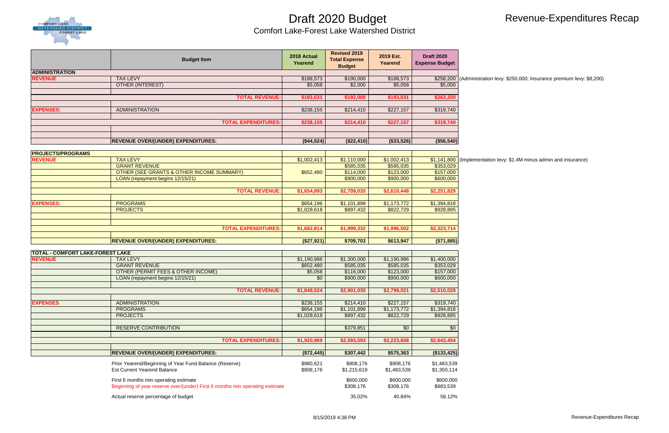

# Revenue-Expenditures Recap

**REVALEX 1885 ANDRE** TATAT BION insurance premium levy: \$8,200)

**Revendie** Tay 1,400 state in and insurance state in the very: \$1.4M minus admin and insurance

|                                         | <b>Budget Item</b>                                                                           | 2018 Actual<br>Yearend | <b>Revised 2019</b><br><b>Total Expense</b><br><b>Budget</b> | 2019 Est.<br>Yearend | <b>Draft 2020</b><br><b>Expense Budget</b> |                       |
|-----------------------------------------|----------------------------------------------------------------------------------------------|------------------------|--------------------------------------------------------------|----------------------|--------------------------------------------|-----------------------|
| <b>ADMINISTRATION</b>                   |                                                                                              |                        |                                                              |                      |                                            |                       |
| <b>REVENUE</b>                          | <b>TAX LEVY</b>                                                                              | \$188,573              | \$190,000                                                    | \$188,573            |                                            | \$258,200 (Administra |
|                                         | <b>OTHER (INTEREST)</b>                                                                      | \$5,058                | \$2,000                                                      | \$5,058              | \$5,000                                    |                       |
|                                         | <b>TOTAL REVENUE:</b>                                                                        | \$193,631              | \$192,000                                                    | \$193,631            | \$263,200                                  |                       |
|                                         |                                                                                              |                        |                                                              |                      |                                            |                       |
| <b>EXPENSES:</b>                        | <b>ADMINISTRATION</b>                                                                        | \$238,155              | \$214,410                                                    | \$227,157            | \$319,740                                  |                       |
|                                         |                                                                                              |                        |                                                              |                      |                                            |                       |
|                                         | <b>TOTAL EXPENDITURES:</b>                                                                   | \$238,155              | \$214,410                                                    | \$227,157            | \$319,740                                  |                       |
|                                         |                                                                                              |                        |                                                              |                      |                                            |                       |
|                                         | <b>REVENUE OVER/(UNDER) EXPENDITURES:</b>                                                    | ( \$44,524)            | (\$22,410)                                                   | (\$33,526)           | (\$56,540)                                 |                       |
|                                         |                                                                                              |                        |                                                              |                      |                                            |                       |
| <b>PROJECTS/PROGRAMS</b>                |                                                                                              |                        |                                                              |                      |                                            |                       |
| <b>REVENUE</b>                          | <b>TAX LEVY</b>                                                                              | \$1,002,413            | \$1,110,000                                                  | \$1,002,413          | \$1,141,800 (Implement                     |                       |
|                                         | <b>GRANT REVENUE</b>                                                                         |                        | \$585,035                                                    | \$585,035            | \$353,029                                  |                       |
|                                         | <b>OTHER (SEE GRANTS &amp; OTHER INCOME SUMMARY)</b>                                         | \$652,480              | \$114,000                                                    | \$123,000            | \$157,000                                  |                       |
|                                         | LOAN (repayment begins 12/15/21)                                                             |                        | \$900,000                                                    | \$900,000            | \$600,000                                  |                       |
|                                         | <b>TOTAL REVENUE:</b>                                                                        | \$1,654,893            | \$2,709,035                                                  | \$2,610,448          | \$2,251,829                                |                       |
|                                         |                                                                                              |                        |                                                              |                      |                                            |                       |
| <b>EXPENSES:</b>                        | <b>PROGRAMS</b>                                                                              | \$654,196              | \$1,101,899                                                  | \$1,173,772          | \$1,394,818                                |                       |
|                                         | <b>PROJECTS</b>                                                                              | \$1,028,618            | \$897,432                                                    | \$822,729            | \$928,895                                  |                       |
|                                         |                                                                                              |                        |                                                              |                      |                                            |                       |
|                                         |                                                                                              |                        |                                                              |                      |                                            |                       |
|                                         | <b>TOTAL EXPENDITURES:</b>                                                                   | \$1,682,814            | \$1,999,332                                                  | \$1,996,502          | \$2,323,714                                |                       |
|                                         | <b>REVENUE OVER/(UNDER) EXPENDITURES:</b>                                                    | (\$27,921)             | \$709,703                                                    | \$613,947            | ( \$71, 885)                               |                       |
|                                         |                                                                                              |                        |                                                              |                      |                                            |                       |
| <b>TOTAL - COMFORT LAKE-FOREST LAKE</b> |                                                                                              |                        |                                                              |                      |                                            |                       |
| <b>REVENUE</b>                          | <b>TAX LEVY</b>                                                                              | \$1,190,986            | $\overline{1,300,000}$                                       | \$1,190,986          | \$1,400,000                                |                       |
|                                         | <b>GRANT REVENUE</b>                                                                         | \$652,480              | \$585,035                                                    | \$585,035            | \$353,029                                  |                       |
|                                         | OTHER (PERMIT FEES & OTHER INCOME)                                                           | \$5,058                | \$116,000                                                    | \$123,000            | \$157,000                                  |                       |
|                                         | LOAN (repayment begins 12/15/21)                                                             | \$0                    | \$900,000                                                    | \$900,000            | \$600,000                                  |                       |
|                                         | <b>TOTAL REVENUE:</b>                                                                        | \$1,848,524            | \$2,901,035                                                  | \$2,799,021          | \$2,510,029                                |                       |
|                                         |                                                                                              |                        |                                                              |                      |                                            |                       |
| <b>EXPENSES</b>                         | <b>ADMINISTRATION</b>                                                                        | \$238,155              | \$214,410                                                    | \$227,157            | \$319,740                                  |                       |
|                                         | <b>PROGRAMS</b>                                                                              | \$654,196              | \$1,101,899                                                  | \$1,173,772          | \$1,394,818                                |                       |
|                                         | <b>PROJECTS</b>                                                                              | \$1,028,618            | \$897,432                                                    | \$822,729            | \$928,895                                  |                       |
|                                         |                                                                                              |                        |                                                              |                      |                                            |                       |
|                                         | <b>RESERVE CONTRIBUTION</b>                                                                  |                        | \$379,851                                                    | $\overline{50}$      | \$0                                        |                       |
|                                         | <b>TOTAL EXPENDITURES:</b>                                                                   | \$1,920,969            | \$2,593,593                                                  | \$2,223,658          | \$2,643,454                                |                       |
|                                         |                                                                                              |                        |                                                              |                      |                                            |                       |
|                                         | <b>REVENUE OVER/(UNDER) EXPENDITURES:</b>                                                    | (\$72,445)             | \$307,442                                                    | \$575,363            | (\$133,425)                                |                       |
|                                         |                                                                                              |                        |                                                              |                      |                                            |                       |
|                                         | Prior Yearend/Beginning of Year Fund Balance (Reserve)<br><b>Est Current Yearend Balance</b> | \$980,621              | \$908,176                                                    | \$908,176            | \$1,483,539                                |                       |
|                                         |                                                                                              | \$908,176              | \$1,215,619                                                  | \$1,483,539          | \$1,350,114                                |                       |
|                                         | First 6 months min operating estimate                                                        |                        | \$600,000                                                    | \$600,000            | \$600,000                                  |                       |
|                                         | Beginning of year reserve over/(under) First 6 months min operating estimate                 |                        | \$308,176                                                    | \$308,176            | \$883,539                                  |                       |
|                                         | Actual reserve percentage of budget                                                          |                        | 35.02%                                                       | 40.84%               | 56.12%                                     |                       |
|                                         |                                                                                              |                        |                                                              |                      |                                            |                       |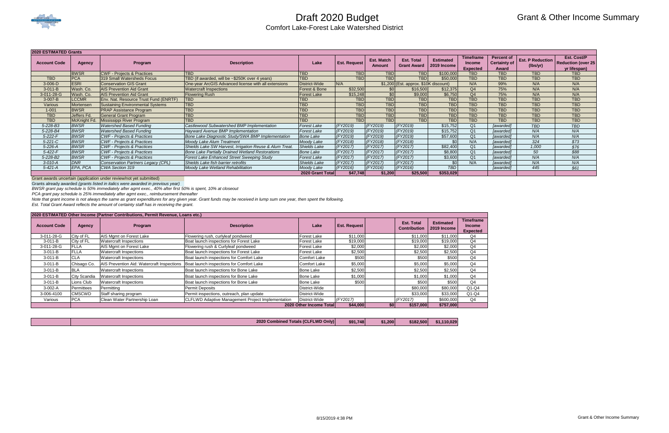

# Grant & Other Income Summary

| <b>2020 ESTIMATED Grants</b> |               |                                         |                                                         |                     |                     |                      |                                         |                                 |                                                      |                                                   |                                     |                                                          |
|------------------------------|---------------|-----------------------------------------|---------------------------------------------------------|---------------------|---------------------|----------------------|-----------------------------------------|---------------------------------|------------------------------------------------------|---------------------------------------------------|-------------------------------------|----------------------------------------------------------|
| <b>Account Code</b>          | <b>Agency</b> | Program                                 | <b>Description</b>                                      | Lake                | <b>Est. Request</b> | Est. Match<br>Amount | <b>Est. Total</b><br><b>Grant Award</b> | <b>Estimated</b><br>2019 Income | <b>Timeframe</b><br><b>Income</b><br><b>Expected</b> | <b>Percent of</b><br><b>Certainty of</b><br>Award | <b>Est. P Reduction</b><br>(lbs/yr) | Est. Cost/P<br><b>Reduction (over 25</b><br>yr lifespan) |
|                              | <b>BWSR</b>   | <b>CWF - Projects &amp; Practices</b>   | <b>TBD</b>                                              | <b>TBD</b>          | <b>TBD</b>          | <b>TBD</b>           | <b>TBD</b>                              | \$100,000                       | <b>TBD</b>                                           | <b>TBD</b>                                        | <b>TBD</b>                          | <b>TBD</b>                                               |
| <b>TBD</b>                   | <b>PCA</b>    | 319 Small Watersheds Focus              | TBD (if awarded, will be ~\$250K over 4 years)          | <b>TBD</b>          | <b>TBD</b>          | <b>TBD</b>           | <b>TBD</b>                              | \$50,000                        | <b>TBD</b>                                           | <b>TBD</b>                                        | <b>TBD</b>                          | <b>TBD</b>                                               |
| $3-006-D$                    | <b>ESRI</b>   | <b>Conservation GIS Grant</b>           | One-year ArcGIS Advanced license with all extensions    | District-Wide       | N/A                 |                      | $$1,200$ (Est. approx. \$10K discount)  |                                 | N/A                                                  | 99%                                               | N/A                                 | N/A                                                      |
| $3-011-B$                    | Wash. Co.     | <b>AIS Prevention Aid Grant</b>         | <b>Watercraft Inspections</b>                           | Forest & Bone       | \$32,500            | \$0                  | \$16,500                                | \$12,375                        | Q4                                                   | 75%                                               | N/A                                 | N/A                                                      |
| 3-011-28-G                   | Wash. Co.     | <b>AIS Prevention Aid Grant</b>         | <b>Flowering Rush</b>                                   | <b>Forest Lake</b>  | \$15,248            | \$0                  | \$9,000                                 | \$6,750                         | Q <sub>4</sub>                                       | 75%                                               | N/A                                 | N/A                                                      |
| $3-007 - B$                  | <b>LCCMR</b>  | Env. Nat. Resource Trust Fund (ENRTF)   | <b>TBD</b>                                              | <b>TBD</b>          | <b>TBD</b>          | TBD                  | <b>TBD</b>                              | <b>TBD</b>                      | <b>TBD</b>                                           | <b>TBD</b>                                        | <b>TBD</b>                          | <b>TBD</b>                                               |
| Various                      | Mortensen     | <b>Sustaining Environmental Systems</b> | <b>TBD</b>                                              | <b>ITBD</b>         | <b>TBD</b>          | <b>TBD</b>           | <b>TBD</b>                              | <b>TBD</b>                      | <b>TBD</b>                                           | <b>TBD</b>                                        | <b>TBD</b>                          | <b>TBD</b>                                               |
| $1 - 001$                    | <b>BWSR</b>   | <b>PRAP Assistance Program</b>          | <b>TBD</b>                                              | <b>TBD</b>          | <b>TBD</b>          | <b>TBD</b>           | <b>TBD</b>                              | <b>TBD</b>                      | <b>TBD</b>                                           | <b>TBD</b>                                        | <b>TBD</b>                          | <b>TBD</b>                                               |
| <b>TBD</b>                   | Jeffers Fd.   | <b>General Grant Program</b>            | <b>TBD</b>                                              | <b>TBD</b>          | <b>TBD</b>          | <b>TBD</b>           | <b>TBD</b>                              | <b>TBD</b>                      | <b>TBD</b>                                           | <b>TBD</b>                                        | <b>TBD</b>                          | <b>TBD</b>                                               |
| <b>TBD</b>                   | McKnight Fd.  | Mississippi River Program               | <b>TBD</b>                                              | <b>TBD</b>          | <b>TBD</b>          | <b>TBD</b>           | <b>TBD</b>                              | <b>TBD</b>                      | <b>TBD</b>                                           | <b>TBD</b>                                        | <b>TBD</b>                          | <b>TBD</b>                                               |
| 5-228-B3                     | <b>BWSR</b>   | <b>Watershed Based Funding</b>          | Castlewood Subwatershed BMP Implementation              | <b>Forest Lake</b>  | (FY2019)            | (FY2019)             | (FY2019)                                | \$15,752                        | Q <sub>1</sub>                                       | [awarded]                                         | <b>TBD</b>                          | <b>TBD</b>                                               |
| 5-228-B4                     | <b>BWSR</b>   | <b>Watershed Based Funding</b>          | <b>Hayward Avenue BMP Implementation</b>                | <b>Forest Lake</b>  | (FY2019)            | (FY2019)             | (FY2019)                                | \$15,752                        | Q <sub>1</sub>                                       | [awarded]                                         | N/A                                 | N/A                                                      |
| $5 - 222 - F$                | <b>BWSR</b>   | <b>CWF</b> - Projects & Practices       | Bone Lake Diagnostic Study/SWA BMP Implementation       | <b>Bone Lake</b>    | (FY2019)            | (FY2019)             | (FY2019)                                | \$57,600                        | Q <sub>1</sub>                                       | [awarded]                                         | N/A                                 | N/A                                                      |
| $5 - 221 - C$                | <b>BWSR</b>   | <b>CWF</b> - Projects & Practices       | Moody Lake Alum Treatment                               | Moody Lake          | (FY2018)            | (FY2018)             | (FY2018)                                | ¢Λ                              | N/A                                                  | [awarded]                                         | 324                                 | \$73                                                     |
| 5-226-A                      | <b>BWSR</b>   | <b>CWF</b> - Projects & Practices       | Shields Lake SW Harvest, Irrigation Reuse & Alum Treat. | <b>Shields Lake</b> | (FY2017)            | (FY2017)             | (FY2017)                                | \$82,400                        | Q <sub>1</sub>                                       | [awarded]                                         | 1,000                               | \$76                                                     |
| $5 - 422 - F$                | <b>BWSR</b>   | CWF - Projects & Practices              | <b>Bone Lake Partially Drained Wetland Restorations</b> | <b>Bone Lake</b>    | (FY2017)            | (FY2017)             | (FY2017)                                | \$8,800                         | Q <sub>1</sub>                                       | [awarded]                                         | 50                                  | \$88                                                     |
| 5-228-B2                     | <b>BWSR</b>   | <b>CWF</b> - Projects & Practices       | <b>Forest Lake Enhanced Street Sweeping Study</b>       | <b>Forest Lake</b>  | (FY2017)            | (FY2017)             | (FY2017)                                | \$3,600                         | Q1                                                   | [awarded]                                         | N/A                                 | N/A                                                      |
| $3-010-A$                    | <b>DNR</b>    | Conservation Partners Legacy (CPL)      | Shields Lake fish barrier retrofits                     | <b>Shields Lake</b> | (FY2017)            | (FY2017)             | (FY2017)                                |                                 | N/A                                                  | [awarded]                                         | N/A                                 | N/A                                                      |
| $5 - 421 - A$                | EPA, PCA      | CWA Section 319                         | Moody Lake Wetland Rehabilitation                       | Moody Lake          | (FY2016)            | (FY2016)             | (FY2016)                                | <b>TBD</b>                      |                                                      | [awarded]                                         | 445                                 | \$61                                                     |
|                              |               |                                         |                                                         | 2020 Grant Total    | \$47.748            | \$1,200              | \$25,500                                | \$353,029                       |                                                      |                                                   |                                     |                                                          |

Grant awards uncertain (application under review/not yet submitted)

Grants already awarded *(grants listed in italics were awarded in previous year)*

*BWSR grant pay schedule is 50% immediately after agmt exec., 40% after first 50% is spent, 10% at closeout*

*PCA grant pay schedule is 25% immediately after agmt exec., reimbursement thereafter*

*Note that grant income is not always the same as grant expenditures for any given year. Grant funds may be received in lump sum one year, then spent the following.*

*Est. Total Grant Award reflects the amount of certainty staff has in receiving the grant.* 

|  |  | d Totals (CLFLWD Only)<br>2020 Combined | \$91,748 | \$1.200 | \$182,500 | \$1.110.029 |
|--|--|-----------------------------------------|----------|---------|-----------|-------------|
|--|--|-----------------------------------------|----------|---------|-----------|-------------|

| 2020 ESTIMATED Other Income (Partner Contributions, Permit Revenue, Loans etc.) |               |                                            |                                                          |                         |                     |           |                                          |                                 |                                                      |  |  |
|---------------------------------------------------------------------------------|---------------|--------------------------------------------|----------------------------------------------------------|-------------------------|---------------------|-----------|------------------------------------------|---------------------------------|------------------------------------------------------|--|--|
| <b>Account Code</b>                                                             | Agency        | Program                                    | <b>Description</b>                                       | Lake                    | <b>Est. Request</b> |           | <b>Est. Total</b><br><b>Contribution</b> | <b>Estimated</b><br>2019 Income | <b>Timeframe</b><br><b>Income</b><br><b>Expected</b> |  |  |
| 3-011-28-G                                                                      | City of FL    | AIS Mgmt on Forest Lake                    | Flowering rush, curlyleaf pondweed                       | <b>Forest Lake</b>      | \$11,000            |           | \$11,000                                 | \$11,000                        | Q4                                                   |  |  |
| $3-011 - B$                                                                     | City of FL    | <b>Watercraft Inspections</b>              | Boat launch inspections for Forest Lake                  | Forest Lake             | \$19,000            |           | \$19,000                                 | \$19,000                        | Q4                                                   |  |  |
| 3-011-28-G                                                                      | <b>FLLA</b>   | AIS Mgmt on Forest Lake                    | Flowering rush & Curlyleaf pondweed                      | Forest Lake             | \$2,000             |           | \$2,000                                  | \$2,000                         | Q4                                                   |  |  |
| $3-011-B$                                                                       | <b>FLLA</b>   | <b>Watercraft Inspections</b>              | Boat launch inspections for Forest Lake                  | Forest Lake             | \$2,500             |           | \$2,500                                  | \$2,500                         | Q4                                                   |  |  |
| $3-011 - B$                                                                     | <b>CLA</b>    | <b>Watercraft Inspections</b>              | Boat launch inspections for Comfort Lake                 | <b>Comfort Lake</b>     | \$500               |           | \$500                                    | \$500                           | Q4                                                   |  |  |
| $3 - 011 - B$                                                                   | Chisago Co.   | AIS Prevention Aid: Watercraft Inspections | Boat launch inspections for Comfort Lake                 | Comfort Lake            | \$5,000             |           | \$5,000                                  | \$5,000                         | Q4                                                   |  |  |
| $3 - 011 - B$                                                                   | <b>BLA</b>    | <b>Watercraft Inspections</b>              | Boat launch inspections for Bone Lake                    | <b>Bone Lake</b>        | \$2,500             |           | \$2,500                                  | \$2,500                         | Q4                                                   |  |  |
| $3-011 - B$                                                                     | City Scandia  | <b>Watercraft Inspections</b>              | Boat launch inspections for Bone Lake                    | <b>Bone Lake</b>        | \$1,000             |           | \$1,000                                  | \$1,000                         | Q4                                                   |  |  |
| $3 - 011 - B$                                                                   | Lions Club    | <b>Watercraft Inspections</b>              | Boat launch inspections for Bone Lake                    | <b>Bone Lake</b>        | \$500               |           | \$500                                    | \$500                           | Q4                                                   |  |  |
| 3-002-A                                                                         | Permittees    | Permitting                                 | Permit Deposits                                          | District-Wide           |                     |           | \$80,000                                 | \$80,000                        | $Q1-Q4$                                              |  |  |
| 3-006-4100                                                                      | <b>CMSCWD</b> | Staff sharing program                      | Permit inspections, outreach, plan update                | District-Wide           |                     |           | \$33,000                                 | \$33,000                        | $Q1-Q4$                                              |  |  |
| Various                                                                         | <b>PCA</b>    | Clean Water Partnership Loan               | <b>CLFLWD Adaptive Management Project Implementation</b> | District-Wide           | (FY2017)            |           | (FY2017)                                 | \$600,000                       | Q4                                                   |  |  |
|                                                                                 |               |                                            |                                                          | 2020 Other Income Total | \$44,000            | <b>SO</b> | \$157,000                                | \$757,000                       |                                                      |  |  |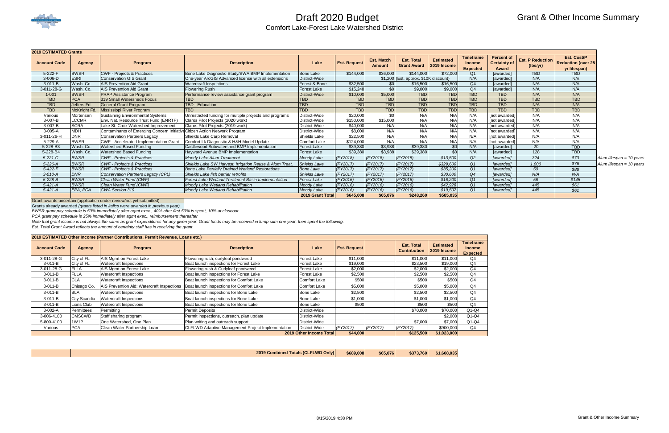

# Grant & Other Income Summary

| <b>2019 ESTIMATED Grants</b> |               |                                                                            |                                                           |                     |                     |                             |                                         |                                        |                                               |                                                   |                                     |                                                                 |                            |
|------------------------------|---------------|----------------------------------------------------------------------------|-----------------------------------------------------------|---------------------|---------------------|-----------------------------|-----------------------------------------|----------------------------------------|-----------------------------------------------|---------------------------------------------------|-------------------------------------|-----------------------------------------------------------------|----------------------------|
| <b>Account Code</b>          | <b>Agency</b> | Program                                                                    | <b>Description</b>                                        | Lake                | <b>Est. Request</b> | Est. Match<br><b>Amount</b> | <b>Est. Total</b><br><b>Grant Award</b> | <b>Estimated</b><br><b>2019 Income</b> | Timeframe<br><b>Income</b><br><b>Expected</b> | <b>Percent of</b><br><b>Certainty of</b><br>Award | <b>Est. P Reduction</b><br>(lbs/yr) | <b>Est. Cost/P</b><br><b>Reduction (over 25</b><br>yr lifespan) |                            |
| 5-222-F                      | <b>BWSR</b>   | <b>CWF - Projects &amp; Practices</b>                                      | Bone Lake Diagnostic Study/SWA BMP Implementation         | <b>Bone Lake</b>    | \$144,000           | \$36,000                    | \$144,000                               | \$72,000                               | Q <sub>1</sub>                                | [awarded]                                         | <b>TBD</b>                          | <b>TBD</b>                                                      |                            |
| $3-006-D$                    | <b>ESRI</b>   | <b>Conservation GIS Grant</b>                                              | One-year ArcGIS Advanced license with all extensions      | District-Wide       |                     |                             | $$1,200$ (Est. approx. $$10K$ discount) |                                        | N/A                                           | [awarded]                                         | N/A                                 | N/A                                                             |                            |
| $3-011-B$                    | Wash. Co.     | <b>AIS Prevention Aid Grant</b>                                            | <b>Watercraft Inspections</b>                             | Forest & Bone       | \$32,500            | \$0 <sub>1</sub>            | \$16,500                                | \$16,500                               | Q4                                            | [awarded]                                         | N/A                                 | N/A                                                             |                            |
| 3-011-28-G                   | Wash. Co.     | <b>AIS Prevention Aid Grant</b>                                            | <b>Flowering Rush</b>                                     | <b>Forest Lake</b>  | \$15,248            | \$0 <sub>1</sub>            | \$9,000                                 | \$9,000                                | Q <sub>4</sub>                                | [awarded]                                         | N/A                                 | N/A                                                             |                            |
| $1 - 001$                    | <b>BWSR</b>   | <b>PRAP Assistance Program</b>                                             | Performance review assistance grant program               | District-Wide       | \$10,000            | \$5,000                     | <b>TBD</b>                              | <b>TBD</b>                             | <b>TBD</b>                                    | <b>TBD</b>                                        | N/A                                 | N/A                                                             |                            |
| <b>TBD</b>                   | <b>PCA</b>    | 319 Small Watersheds Focus                                                 | <b>TBD</b>                                                | TBD                 | <b>TBD</b>          | <b>TBD</b>                  | <b>TBD</b>                              | <b>TBD</b>                             | <b>TBD</b>                                    | <b>TBD</b>                                        | <b>TBD</b>                          | <b>TBD</b>                                                      |                            |
| <b>TBD</b>                   | Jeffers Fd.   | <b>General Grant Program</b>                                               | <b>TBD - Education</b>                                    | <b>TBD</b>          | <b>TBD</b>          | <b>TBD</b>                  | <b>TBD</b>                              | <b>TBD</b>                             | <b>TBD</b>                                    | <b>TBD</b>                                        | N/A                                 | N/A                                                             |                            |
| <b>TBD</b>                   | McKnight Fd.  | Mississippi River Program                                                  | <b>TBD</b>                                                | <b>TBD</b>          | <b>TBD</b>          | <b>TBD</b>                  | <b>TBD</b>                              | <b>TBD</b>                             | <b>TBD</b>                                    | <b>TBD</b>                                        | <b>TBD</b>                          | <b>TBD</b>                                                      |                            |
| Various                      | Mortensen     | <b>Sustaining Environmental Systems</b>                                    | Unrestricted funding for multiple projects and programs   | District-Wide       | \$20,000            | \$0                         | N/A                                     | N/A                                    | N/A                                           | Inot awarded                                      | N/A                                 | N/A                                                             |                            |
| 3-007-B                      | <b>LCCMR</b>  | Env. Nat. Resource Trust Fund (ENRTF)                                      | Claros Pilot Projects (2020 work)                         | District-Wide       | \$150,000           | \$15,000                    | N/A                                     | N/A                                    | N/A                                           | [not awarded]                                     | N/A                                 | N/A                                                             |                            |
| 3-007-B                      | <b>SCRA</b>   | Lake St. Croix Watershed Improvement                                       | Claros Pilot Projects (2019 work)                         | District-Wide       | \$40,000            | N/A                         | N/A                                     | N/A                                    | N/A                                           | [not awarded]                                     | N/A                                 | N/A                                                             |                            |
| 3-005-A                      | <b>MDH</b>    | Contaminants of Emerging Concern Initiative Citizen Action Network Program |                                                           | District-Wide       | \$8,000             | N/A                         | N/A                                     | N/A                                    | N/A                                           | Inot awarded                                      | N/A                                 | N/A                                                             |                            |
| 3-011-26-H                   | <b>DNR</b>    | <b>Conservation Partners Legacy</b>                                        | Shields Lake Carp Removal                                 | Shields Lake        | \$22,500            | N/A                         | N/A                                     | N/A                                    | N/A                                           | Inot awarded                                      | N/A                                 | N/A                                                             |                            |
| 5-229-A                      | <b>BWSR</b>   | <b>CWF - Accelerated Implementation Grant</b>                              | Comfort Lk Diagnostic & H&H Model Update                  | Comfort Lake        | \$124,000           | N/A                         | N/A                                     | N/A                                    | N/A                                           | [not awarded]                                     | N/A                                 | N/A                                                             |                            |
| 5-228-B3                     | Wash. Co.     | <b>Watershed Based Funding</b>                                             | Castlewood Subwatershed BMP Implementation                | <b>Forest Lake</b>  | \$39,380            | \$3,938                     | \$39,380                                | \$0                                    | N/A                                           | [awarded]                                         | 20                                  | <b>TBD</b>                                                      |                            |
| 5-228-B4                     | Wash. Co.     | <b>Watershed Based Funding</b>                                             | Hayward Avenue BMP Implementation                         | Forest Lake         | \$39,380            | \$3,938                     | \$39,380                                | \$0                                    | N/A                                           | [awarded]                                         | 128                                 | <b>TBD</b>                                                      |                            |
| $5 - 221 - C$                | <b>BWSR</b>   | CWF - Projects & Practices                                                 | <b>Moody Lake Alum Treatment</b>                          | Moody Lake          | (FY2018)            | (FY2018)                    | (FY2018)                                | \$13,500                               | Q2                                            | [awarded]                                         | 324                                 | \$73                                                            | Alum lifespan = $10$ years |
| 5-226-A                      | <b>BWSR</b>   | <b>CWF</b> - Projects & Practices                                          | Shields Lake SW Harvest, Irrigation Reuse & Alum Treat.   | Shields Lake        | FY2017)             | (FY2017)                    | (FY2017)                                | \$329,600                              | Q1                                            | [awarded]                                         | 1,000                               | \$76                                                            | Alum lifespan = $10$ years |
| $5 - 422 - F$                | <b>BWSR</b>   | CWF - Projects & Practices                                                 | <b>Bone Lake Partially Drained Wetland Restorations</b>   | <b>Bone Lake</b>    | (FY2017)            | (FY2017)                    | (FY2017)                                | \$35,200                               | Q1                                            | [awarded]                                         | 50                                  | \$88                                                            |                            |
| $3-010-A$                    | <b>DNR</b>    | Conservation Partners Legacy (CPL)                                         | Shields Lake fish barrier retrofits                       | <b>Shields Lake</b> | FY2017)             | (FY2017)                    | (FY2017)                                | \$30,600                               | Q4                                            | <i><b>Tawarded1</b></i>                           | N/A                                 | N/A                                                             |                            |
| $5 - 228 - B$                | <b>BWSR</b>   | Clean Water Fund (CWF)                                                     | <b>Forest Lake Wetland Treatment Basin Implementation</b> | <b>Forest Lake</b>  | (FY2016)            | (FY2016)                    | (FY2016)                                | \$16,200                               | Q <sub>1</sub>                                | [awarded]                                         | 56                                  | \$145                                                           |                            |
| $5 - 421 - A$                | <b>BWSR</b>   | Clean Water Fund (CWF)                                                     | Moody Lake Wetland Rehabilitation                         | Moody Lake          | (FY2016)            | (FY2016)                    | (FY2016)                                | \$42,928                               | Q1                                            | [awarded]                                         | 445                                 | \$61                                                            |                            |
| $5 - 421 - A$                | EPA, PCA      | CWA Section 319                                                            | Moody Lake Wetland Rehabilitation                         | Moody Lake          | (FY2016)            | (FY2016)                    | (FY2016)                                | \$19,507                               | Q1                                            | [awarded]                                         | 445                                 | \$61                                                            |                            |
|                              |               |                                                                            |                                                           | 2019 Grant Total    | \$645,008           | \$65,076                    | \$248,260                               | \$585,035                              |                                               |                                                   |                                     |                                                                 |                            |

Grant awards uncertain (application under review/not yet submitted)

Grants already awarded *(grants listed in italics were awarded in previous year)*

*BWSR grant pay schedule is 50% immediately after agmt exec., 40% after first 50% is spent, 10% at closeout*

*PCA grant pay schedule is 25% immediately after agmt exec., reimbursement thereafter*

*Note that grant income is not always the same as grant expenditures for any given year. Grant funds may be received in lump sum one year, then spent the following.*

*Est. Total Grant Award reflects the amount of certainty staff has in receiving the grant.* 

| <b>Account Code</b> | <b>Agency</b> | Program                                           | <b>Description</b>                                       | Lake                            | <b>Est. Request</b> |          | <b>Est. Total</b><br><b>Contribution</b> | <b>Estimated</b><br>2019 Income | <b>Timeframe</b><br><b>Income</b><br><b>Expected</b> |
|---------------------|---------------|---------------------------------------------------|----------------------------------------------------------|---------------------------------|---------------------|----------|------------------------------------------|---------------------------------|------------------------------------------------------|
| 3-011-28-G          | City of FL    | AIS Mgmt on Forest Lake                           | Flowering rush, curlyleaf pondweed                       | <b>Forest Lake</b>              | \$11,000            |          | \$11,000                                 | \$11,000                        | Q4                                                   |
| $3 - 011 - B$       | City of FL    | <b>Watercraft Inspections</b>                     | Boat launch inspections for Forest Lake                  | Forest Lake                     | \$19,000            |          | \$23,500                                 | \$19,000                        | Q <sub>4</sub>                                       |
| 3-011-28-G          | <b>FLLA</b>   | AIS Mgmt on Forest Lake                           | Flowering rush & Curlyleaf pondweed                      | Forest Lake                     | \$2,000             |          | \$2,000                                  | \$2,000                         | Q4                                                   |
| $3-011 - B$         | FLLA          | <b>Watercraft Inspections</b>                     | Boat launch inspections for Forest Lake                  | <b>Forest Lake</b>              | \$2,500             |          | \$2,500                                  | \$2,500                         | Q4                                                   |
| $3 - 011 - B$       | <b>CLA</b>    | <b>Watercraft Inspections</b>                     | Boat launch inspections for Comfort Lake                 | <b>Comfort Lake</b>             | \$500               |          | \$500                                    | \$500                           | Q4                                                   |
| $3-011 - B$         | Chisago Co.   | <b>AIS Prevention Aid: Watercraft Inspections</b> | Boat launch inspections for Comfort Lake                 | Comfort Lake                    | \$5,000             |          | \$5,000                                  | \$5,000                         | Q <sub>4</sub>                                       |
| $3-011 - B$         | <b>BLA</b>    | <b>Watercraft Inspections</b>                     | Boat launch inspections for Bone Lake                    | <b>Bone Lake</b>                | \$2,500             |          | \$2,500                                  | \$2,500                         | Q4                                                   |
| $3 - 011 - B$       | City Scandia  | <b>Watercraft Inspections</b>                     | Boat launch inspections for Bone Lake                    | <b>Bone Lake</b>                | \$1,000             |          | \$1,000                                  | \$1,000                         | Q4                                                   |
| $3 - 011 - B$       | Lions Club    | <b>Watercraft Inspections</b>                     | Boat launch inspections for Bone Lake                    | <b>Bone Lake</b>                | \$500               |          | \$500                                    | \$500                           | Q4                                                   |
| 3-002-A             | Permittees    | Permitting                                        | <b>Permit Deposits</b>                                   | District-Wide                   |                     |          | \$70,000                                 | \$70,000                        | $Q1-Q4$                                              |
| 3-006-4100          | <b>CMSCWD</b> | Staff sharing program                             | Permit inspections, outreach, plan update                | District-Wide                   |                     |          |                                          | \$2,000                         | $Q1-Q4$                                              |
| 5-800-4100          | 1W1P          | One Watershed, One Plan                           | Plan writing and outreach support                        | District-Wide                   |                     |          | \$7,000                                  | \$7,000                         | $Q1-Q4$                                              |
| Various             | <b>PCA</b>    | Clean Water Partnership Loan                      | <b>CLFLWD Adaptive Management Project Implementation</b> | District-Wide                   | (FY2017)            | (FY2017) | (FY2017)                                 | \$900,000                       | Q4                                                   |
|                     |               |                                                   |                                                          | <b>2019 Other Income Totall</b> | \$44,000            |          | \$125,500                                | \$1,023,000                     |                                                      |

|  |  | 2019 C<br>$\blacksquare$<br>Combined:<br><b>S (CLFLWD Only)</b><br><u>i</u> otals | \$689,008 | \$65,076 | <b>373.760</b> | .608.035 |
|--|--|-----------------------------------------------------------------------------------|-----------|----------|----------------|----------|
|--|--|-----------------------------------------------------------------------------------|-----------|----------|----------------|----------|

#### **2019 ESTIMATED Other Income (Partner Contributions, Permit Revenue, Loans etc.)**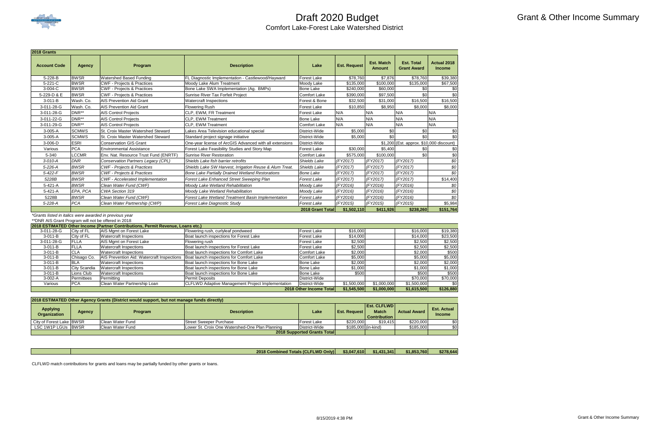

| 2018 Grants         |               |                                           |                                                           |                     |                     |                                    |                                          |                                     |
|---------------------|---------------|-------------------------------------------|-----------------------------------------------------------|---------------------|---------------------|------------------------------------|------------------------------------------|-------------------------------------|
| <b>Account Code</b> | <b>Agency</b> | Program                                   | <b>Description</b>                                        | Lake                | <b>Est. Request</b> | <b>Est. Match</b><br><b>Amount</b> | <b>Est. Total</b><br><b>Grant Award</b>  | <b>Actual 2018</b><br><b>Income</b> |
| 5-228-B             | <b>BWSR</b>   | <b>Watershed Based Funding</b>            | <b>FL Diagnostic Implementation - Castlewood/Hayward</b>  | <b>Forest Lake</b>  | \$78,760            | \$7,876                            | \$78,760                                 | \$39,380                            |
| $5 - 221 - C$       | <b>BWSR</b>   | <b>CWF - Projects &amp; Practices</b>     | Moody Lake Alum Treatment                                 | Moody Lake          | \$135,000           | \$100,000                          | \$135,000                                | \$67,500                            |
| 3-004-C             | <b>BWSR</b>   | <b>CWF - Projects &amp; Practices</b>     | Bone Lake SWA Implementation (Ag. BMPs)                   | <b>Bone Lake</b>    | \$240,000           | \$60,000                           | \$0                                      |                                     |
| 5-229-D & E         | <b>BWSR</b>   | <b>CWF - Projects &amp; Practices</b>     | Sunrise River Tax Forfeit Project                         | <b>Comfort Lake</b> | \$390,000           | \$97,500                           | \$0                                      | \$0                                 |
| $3-011-B$           | Wash. Co.     | <b>AIS Prevention Aid Grant</b>           | <b>Watercraft Inspections</b>                             | Forest & Bone       | \$32,500            | \$31,000                           | \$16,500                                 | \$16,500                            |
| 3-011-28-G          | Wash. Co.     | <b>AIS Prevention Aid Grant</b>           | <b>Flowering Rush</b>                                     | <b>Forest Lake</b>  | \$10,850            | \$8,950                            | \$8,000                                  | \$8,000                             |
| 3-011-28-G          | DNR**         | <b>AIS Control Projects</b>               | <b>CLP. EWM. FR Treatment</b>                             | <b>Forest Lake</b>  | N/A                 | N/A                                | N/A                                      | N/A                                 |
| 3-011-22-G          | DNR**         | <b>AIS Control Projects</b>               | <b>ICLP. EWM Treatment</b>                                | <b>Bone Lake</b>    | N/A                 | N/A                                | N/A                                      | N/A                                 |
| 3-011-29-G          | DNR**         | <b>AIS Control Projects</b>               | <b>ICLP. EWM Treatment</b>                                | <b>Comfort Lake</b> | N/A                 | N/A                                | N/A                                      | N/A                                 |
| $3-005-A$           | <b>SCMWS</b>  | <b>St. Croix Master Watershed Steward</b> | Lakes Area Television educational special                 | District-Wide       | \$5,000             | \$0                                | \$0                                      |                                     |
| 3-005-A             | <b>SCMWS</b>  | <b>St. Croix Master Watershed Steward</b> | Standard project signage initiative                       | District-Wide       | \$5,000             | \$0                                | \$0                                      | \$0                                 |
| 3-006-D             | <b>ESRI</b>   | <b>Conservation GIS Grant</b>             | One-year license of ArcGIS Advanced with all extensions   | District-Wide       |                     |                                    | \$1,200 (Est. approx. \$10,000 discount) |                                     |
| Various             | <b>PCA</b>    | <b>Environmental Assistance</b>           | Forest Lake Feasibility Studies and Story Map             | <b>Forest Lake</b>  | \$30,000            | \$5,400                            | \$0                                      |                                     |
| 5-340               | <b>LCCMR</b>  | Env. Nat. Resource Trust Fund (ENRTF      | Sunrise River Restoration                                 | <b>Comfort Lake</b> | \$575.000           | \$100.000                          | \$0                                      | \$0                                 |
| $3-010-A$           | <b>DNR</b>    | Conservation Partners Legacy (CPL)        | Shields Lake fish barrier retrofits                       | Shields Lake        | (FY2017)            | (FY2017)                           | (FY2017)                                 | \$0                                 |
| 5-226-A             | <b>BWSR</b>   | <b>CWF</b> - Projects & Practices         | Shields Lake SW Harvest, Irrigation Reuse & Alum Treat.   | <b>Shields Lake</b> | (FY2017)            | (FY2017)                           | (FY2017)                                 | \$0                                 |
| $5 - 422 - F$       | <b>BWSR</b>   | <b>CWF</b> - Projects & Practices         | <b>Bone Lake Partially Drained Wetland Restorations</b>   | <b>Bone Lake</b>    | (FY2017)            | (FY2017)                           | (FY2017)                                 | \$0                                 |
| 5228B               | <b>BWSR</b>   | <b>CWF</b> - Accelerated Implementation   | Forest Lake Enhanced Street Sweeping Plan                 | <b>Forest Lake</b>  | (FY2017)            | (FY2017)                           | (FY2017)                                 | \$14,400                            |
| 5-421-A             | <b>BWSR</b>   | Clean Water Fund (CWF)                    | Moody Lake Wetland Rehabilitation                         | Moody Lake          | (FY2016)            | (FY2016)                           | (FY2016)                                 | \$0                                 |
| 5-421-A             | EPA, PCA      | CWA Section 319                           | Moody Lake Wetland Rehabilitation                         | Moody Lake          | (FY2016)            | (FY2016)                           | (FY2016)                                 | \$0                                 |
| 5228B               | <b>BWSR</b>   | Clean Water Fund (CWF)                    | <b>Forest Lake Wetland Treatment Basin Implementation</b> | <b>Forest Lake</b>  | (FY2016)            | (FY2016)                           | (FY2016)                                 | \$0                                 |
| 5-228-A             | <b>PCA</b>    | Clean Water Partnership (CWP)             | <b>Forest Lake Diagnostic Study</b>                       | <b>Forest Lake</b>  | (FY2015)            | (FY2015)                           | (FY2015)                                 | \$5,984                             |
|                     |               |                                           |                                                           | 2018 Grant Total    | \$1,502,110         | \$411,926                          | \$238,260                                | \$151,764                           |

*\*Grants listed in italics were awarded in previous year* \*\*DNR AIS Grant Program will not be offered in 2018

|             |              | 2018 ESTIMATED Other Income (Partner Contributions, Permit Revenue, Loans etc.) |                                                          |                         |             |             |             |           |
|-------------|--------------|---------------------------------------------------------------------------------|----------------------------------------------------------|-------------------------|-------------|-------------|-------------|-----------|
| 3-011-28-G  | City of FL   | AIS Mgmt on Forest Lake                                                         | Flowering rush, curlyleaf pondweed                       | <b>Forest Lake</b>      | \$16,000    |             | \$16,000    | \$19,380  |
| $3-011-B$   | City of FL   | <b>Watercraft Inspections</b>                                                   | Boat launch inspections for Forest Lake                  | Forest Lake             | \$14,000    |             | \$14,000    | \$23,500  |
| 3-011-28-G  | FLLA         | AIS Mgmt on Forest Lake                                                         | Flowering rush                                           | Forest Lake             | \$2,500     |             | \$2,500     | \$2,500   |
| $3-011 - B$ | FLLA         | <b>Watercraft Inspections</b>                                                   | Boat launch inspections for Forest Lake                  | Forest Lake             | \$2,500     |             | \$2,500     | \$2,500   |
| $3-011-B$   | CLA          | <b>Watercraft Inspections</b>                                                   | Boat launch inspections for Comfort Lake                 | Comfort Lake            | \$2,000     |             | \$2,000     | \$500     |
| 3-011-B     | Chisago Co.  | AIS Prevention Aid: Watercraft Inspections                                      | Boat launch inspections for Comfort Lake                 | <b>Comfort Lake</b>     | \$5,000     |             | \$5,000     | \$5,000   |
| $3-011 - B$ | IBLA         | Watercraft Inspections                                                          | Boat launch inspections for Bone Lake                    | <b>Bone Lake</b>        | \$2,000     |             | \$2,000     | \$2,000   |
| $3-011 - B$ | City Scandia | <b>Watercraft Inspections</b>                                                   | Boat launch inspections for Bone Lake                    | <b>Bone Lake</b>        | \$1,000     |             | \$1,000     | \$1,000   |
| $3-011 - B$ | Lions Club   | <b>Watercraft Inspections</b>                                                   | Boat launch inspections for Bone Lake                    | <b>Bone Lake</b>        | \$500       |             | \$500       | \$500     |
| $3-002-A$   | Permittees   | Permittina                                                                      | Permit Deposits                                          | District-Wide           |             |             | \$70,000    | \$70,000  |
| Various     | <b>PCA</b>   | Clean Water Partnership Loan                                                    | <b>CLFLWD Adaptive Management Project Implementation</b> | District-Wide           | \$1,500,000 | \$1,000,000 | \$1,500,000 | \$0       |
|             |              |                                                                                 |                                                          | 2018 Other Income Total | \$1,545,500 | \$1,000,000 | \$1,615,500 | \$126,880 |

| <b>Applying</b><br><b>Organization</b> | <b>Agency</b> | <b>Program</b>   | <b>Description</b>                              | Lake                               | <b>Est. Request</b> | <b>Est. CLFLWDI</b><br><b>Match</b><br><b>Contribution</b> I | <b>Actual Award</b> | <b>Est. Actual</b><br><b>Income</b> |
|----------------------------------------|---------------|------------------|-------------------------------------------------|------------------------------------|---------------------|--------------------------------------------------------------|---------------------|-------------------------------------|
| City of Forest Lake BWSR               |               | Clean Water Fund | Street Sweeper Purchase                         | <b>Forest Lake</b>                 | \$220,000           | \$19.415                                                     | \$220,000           | \$01                                |
| LSC 1W1P LGUs IBWSR                    |               | Clean Water Fund | Lower St. Croix One Watershed-One Plan Planning | District-Wide                      | \$185,000 (in-kind) |                                                              | \$185,000           | \$0                                 |
|                                        |               |                  |                                                 | <b>2018 Supported Grants Total</b> |                     |                                                              |                     |                                     |

CLFLWD match contributions for grants and loans may be partially funded by other grants or loans.

**\$3,047,610 \$1,431,341 \$1,853,760 \$278,644 2018 Combined Totals (CLFLWD Only)**

#### **2018 ESTIMATED Other Agency Grants (District would support, but not manage funds directly)**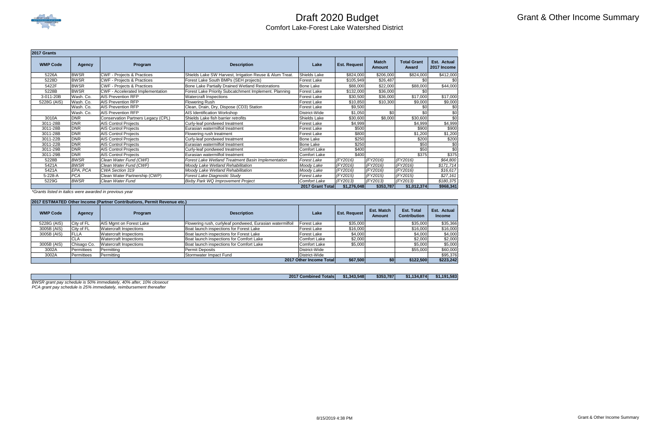

| 2017 Grants     |             |                                         |                                                           |                     |                     |                        |                             |                            |
|-----------------|-------------|-----------------------------------------|-----------------------------------------------------------|---------------------|---------------------|------------------------|-----------------------------|----------------------------|
| <b>WMP Code</b> | Agency      | Program                                 | <b>Description</b>                                        | Lake                | <b>Est. Request</b> | <b>Match</b><br>Amount | <b>Total Grant</b><br>Award | Est. Actual<br>2017 Income |
| 5226A           | <b>BWSR</b> | CWF - Projects & Practices              | Shields Lake SW Harvest, Irrigation Reuse & Alum Treat.   | Shields Lake        | \$824,000           | \$206,000              | \$824,000                   | \$412,000                  |
| 5228D           | <b>BWSR</b> | <b>CWF - Projects &amp; Practices</b>   | Forest Lake South BMPs (SEH projects)                     | Forest Lake         | \$105,949           | \$26,487               | \$0                         | \$0                        |
| 5422F           | <b>BWSR</b> | <b>CWF - Projects &amp; Practices</b>   | Bone Lake Partially Drained Wetland Restorations          | Bone Lake           | \$88,000            | \$22,000               | \$88,000                    | \$44,000                   |
| 5228B           | <b>BWSR</b> | <b>CWF</b> - Accelerated Implementation | Forest Lake Priority Subcatchment Implement. Planning     | Forest Lake         | \$132,000           | \$36,000               | \$0                         |                            |
| 3-011-20B       | Wash. Co.   | <b>AIS Prevention RFP</b>               | <b>Watercraft Inspections</b>                             | Forest Lake         | \$30,500            | \$36,000               | \$17,000                    | \$17,000                   |
| 5228G (AIS)     | Wash. Co.   | <b>AIS Prevention RFP</b>               | <b>Flowering Rush</b>                                     | Forest Lake         | \$10,850            | \$10,300               | \$9,000                     | \$9,000                    |
|                 | Wash. Co.   | <b>AIS Prevention RFP</b>               | Clean, Drain, Dry, Dispose (CD3) Station                  | Forest Lake         | \$9,500             |                        | \$0                         | \$0                        |
|                 | Wash. Co.   | <b>AIS Prevention RFP</b>               | <b>AIS Identification Workshop</b>                        | District-Wide       | \$1,050             | \$0                    | \$0                         | \$0                        |
| 3010A           | <b>DNR</b>  | Conservation Partners Legacy (CPL)      | Shields Lake fish barrier retrofits                       | Shields Lake        | \$30,600            | \$8,000                | \$30,600                    | \$0                        |
| 3011-28B        | <b>DNR</b>  | <b>AIS Control Projects</b>             | Curly-leaf pondweed treatment                             | Forest Lake         | \$4,999             |                        | \$4,999                     | \$4,999                    |
| 3011-28B        | <b>DNR</b>  | <b>AIS Control Projects</b>             | Eurasian watermilfoil treatment                           | Forest Lake         | \$500               |                        | \$900                       | \$900                      |
| 3011-28B        | <b>DNR</b>  | <b>AIS Control Projects</b>             | Flowering rush treatment                                  | Forest Lake         | \$800               |                        | \$1,200                     | \$1,200                    |
| 3011-22B        | <b>DNR</b>  | <b>AIS Control Projects</b>             | Curly-leaf pondweed treatment                             | Bone Lake           | \$250               |                        | \$200                       | \$200                      |
| 3011-22B        | <b>DNR</b>  | <b>AIS Control Projects</b>             | Eurasian watermilfoil treatment                           | Bone Lake           | \$250               |                        | \$50                        | \$0                        |
| 3011-29B        | <b>DNR</b>  | <b>AIS Control Projects</b>             | Curly-leaf pondweed treatment                             | Comfort Lake        | \$400               |                        | \$50                        | \$0                        |
| 3011-29B        | <b>DNR</b>  | <b>AIS Control Projects</b>             | Eurasian watermilfoil treatment                           | <b>Comfort Lake</b> | \$400               |                        | \$375                       | \$375                      |
| 5228B           | <b>BWSR</b> | Clean Water Fund (CWF)                  | <b>Forest Lake Wetland Treatment Basin Implementation</b> | Forest Lake         | (FY2016)            | (FY2016)               | (FY2016)                    | \$64,800                   |
| 5421A           | <b>BWSR</b> | Clean Water Fund (CWF)                  | Moody Lake Wetland Rehabilitation                         | Moody Lake          | (FY2016)            | (FY2016)               | (FY2016)                    | \$171,714                  |
| 5421A           | EPA, PCA    | CWA Section 319                         | Moody Lake Wetland Rehabilitation                         | Moody Lake          | (FY2016)            | (FY2016)               | (FY2016)                    | \$16,617                   |
| 5-228-A         | <b>PCA</b>  | Clean Water Partnership (CWP)           | <b>Forest Lake Diagnostic Study</b>                       | Forest Lake         | (FY2015)            | (FY2015)               | (FY2015)                    | \$27,161                   |
| 5229G           | <b>BWSR</b> | Clean Water Fund                        | Bixby Park WQ Improvement Project                         | Comfort Lake        | (FY2013)            | (FY2013)               | (FY2013)                    | \$180,375                  |
|                 |             |                                         |                                                           | 2017 Grant Total    | \$1,276,048         | \$353,787              | \$1,012,374                 | \$968,341                  |

*\*Grants listed in italics were awarded in previous year*

| 2017 ESTIMATED Other Income (Partner Contributions, Permit Revenue etc.) |             |                               |                                                           |                                       |          |            |                                          |                              |
|--------------------------------------------------------------------------|-------------|-------------------------------|-----------------------------------------------------------|---------------------------------------|----------|------------|------------------------------------------|------------------------------|
| <b>WMP Code</b>                                                          | Agency      | <b>Program</b>                | <b>Description</b>                                        | <b>Est. Request</b><br>Lake<br>Amount |          | Est. Match | <b>Est. Total</b><br><b>Contribution</b> | Est. Actual<br><b>Income</b> |
| 5228G (AIS)                                                              | City of FL  | AIS Mgmt on Forest Lake       | Flowering rush, curlyleaf pondweed, Eurasian watermilfoil | Forest Lake                           | \$35,000 |            | \$35,000                                 | \$35,366                     |
| 3005B (AIS)                                                              | City of FL  | <b>Watercraft Inspections</b> | Boat launch inspections for Forest Lake                   | Forest Lake                           | \$16,000 |            | \$16,000                                 | \$16,000                     |
| 3005B (AIS)                                                              | <b>FLLA</b> | <b>Watercraft Inspections</b> | Boat launch inspections for Forest Lake                   | Forest Lake                           | \$4,000  |            | \$4,000                                  | \$4,000                      |
|                                                                          | <b>CLA</b>  | <b>Watercraft Inspections</b> | Boat launch inspections for Comfort Lake                  | Comfort Lake                          | \$2,000  |            | \$2,000                                  | \$2,000                      |
| 3005B (AIS)                                                              | Chisago Co. | <b>Watercraft Inspections</b> | Boat launch inspections for Comfort Lake                  | <b>Comfort Lake</b>                   | \$5,000  |            | \$5,000                                  | \$5,000                      |
| 3002A                                                                    | Permittees  | Permitting                    | Permit Deposits                                           | District-Wide                         |          |            | \$55,000                                 | \$60,000                     |
| 3002A                                                                    | Permittees  | Permitting                    | Stormwater Impact Fund                                    | District-Wide                         |          |            |                                          | \$95,376                     |
|                                                                          |             |                               |                                                           | 2017 Other Income Total               | \$67,500 |            | \$122,500                                | \$223,242                    |

*PCA grant pay schedule is 25% immediately, reimbursement thereafter*

| 2017 Combined Totals                                                        | \$1,343,548 | \$353.787 | \$1,134,874 | \$1.191.583 |
|-----------------------------------------------------------------------------|-------------|-----------|-------------|-------------|
| BWSR grant pay schedule is 50% immediately,<br>10% closeout<br>. 40% after. |             |           |             |             |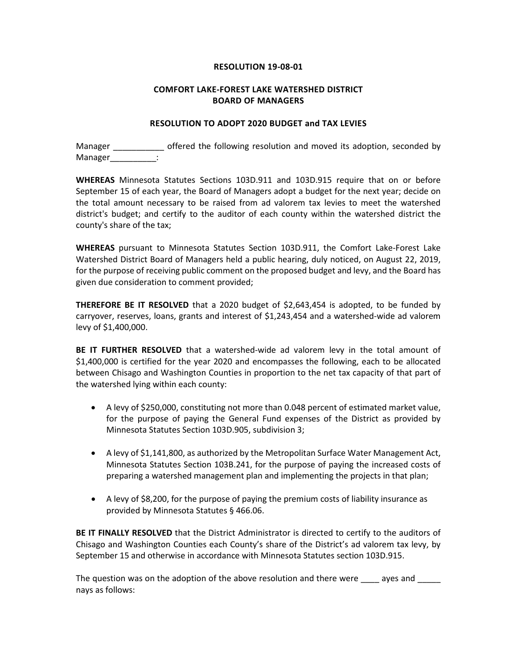#### **RESOLUTION 19-08-01**

#### **COMFORT LAKE-FOREST LAKE WATERSHED DISTRICT BOARD OF MANAGERS**

#### **RESOLUTION TO ADOPT 2020 BUDGET and TAX LEVIES**

Manager \_\_\_\_\_\_\_\_\_\_\_\_\_ offered the following resolution and moved its adoption, seconded by Manager :

**WHEREAS** Minnesota Statutes Sections 103D.911 and 103D.915 require that on or before September 15 of each year, the Board of Managers adopt a budget for the next year; decide on the total amount necessary to be raised from ad valorem tax levies to meet the watershed district's budget; and certify to the auditor of each county within the watershed district the county's share of the tax;

**WHEREAS** pursuant to Minnesota Statutes Section 103D.911, the Comfort Lake-Forest Lake Watershed District Board of Managers held a public hearing, duly noticed, on August 22, 2019, for the purpose of receiving public comment on the proposed budget and levy, and the Board has given due consideration to comment provided;

**THEREFORE BE IT RESOLVED** that a 2020 budget of \$2,643,454 is adopted, to be funded by carryover, reserves, loans, grants and interest of \$1,243,454 and a watershed-wide ad valorem levy of \$1,400,000.

**BE IT FURTHER RESOLVED** that a watershed-wide ad valorem levy in the total amount of \$1,400,000 is certified for the year 2020 and encompasses the following, each to be allocated between Chisago and Washington Counties in proportion to the net tax capacity of that part of the watershed lying within each county:

- A levy of \$250,000, constituting not more than 0.048 percent of estimated market value, for the purpose of paying the General Fund expenses of the District as provided by Minnesota Statutes Section 103D.905, subdivision 3;
- A levy of \$1,141,800, as authorized by the Metropolitan Surface Water Management Act, Minnesota Statutes Section 103B.241, for the purpose of paying the increased costs of preparing a watershed management plan and implementing the projects in that plan;
- A levy of \$8,200, for the purpose of paying the premium costs of liability insurance as provided by Minnesota Statutes § 466.06.

**BE IT FINALLY RESOLVED** that the District Administrator is directed to certify to the auditors of Chisago and Washington Counties each County's share of the District's ad valorem tax levy, by September 15 and otherwise in accordance with Minnesota Statutes section 103D.915.

The question was on the adoption of the above resolution and there were \_\_\_\_\_ ayes and \_\_\_\_\_\_ nays as follows: